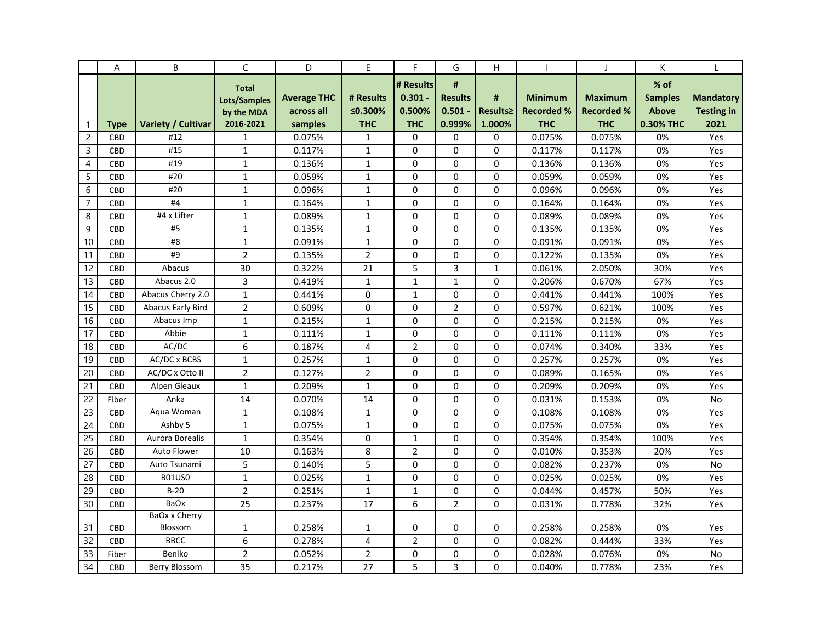|                | Α          | B                        | C              | D                  | E              | F.             | G              | Η        |                   | $\mathbf{I}$      | K              |                   |
|----------------|------------|--------------------------|----------------|--------------------|----------------|----------------|----------------|----------|-------------------|-------------------|----------------|-------------------|
|                |            |                          | <b>Total</b>   |                    |                | # Results      | #              |          |                   |                   | $%$ of         |                   |
|                |            |                          | Lots/Samples   | <b>Average THC</b> | # Results      | $0.301 -$      | <b>Results</b> | #        | <b>Minimum</b>    | <b>Maximum</b>    | <b>Samples</b> | <b>Mandatory</b>  |
|                |            |                          | by the MDA     | across all         | ≤0.300%        | 0.500%         | $0.501 -$      | Results≥ | <b>Recorded %</b> | <b>Recorded %</b> | <b>Above</b>   | <b>Testing in</b> |
| $\mathbf{1}$   | Type       | Variety / Cultivar       | 2016-2021      | samples            | <b>THC</b>     | <b>THC</b>     | 0.999%         | 1.000%   | <b>THC</b>        | <b>THC</b>        | 0.30% THC      | 2021              |
| $\overline{c}$ | <b>CBD</b> | #12                      | $\mathbf{1}$   | 0.075%             | 1              | 0              | 0              | 0        | 0.075%            | 0.075%            | 0%             | Yes               |
| 3              | CBD        | #15                      | $\mathbf{1}$   | 0.117%             | $\mathbf{1}$   | 0              | $\Omega$       | $\Omega$ | 0.117%            | 0.117%            | 0%             | Yes               |
| $\overline{4}$ | CBD        | #19                      | $\mathbf{1}$   | 0.136%             | $\mathbf{1}$   | $\Omega$       | $\Omega$       | $\Omega$ | 0.136%            | 0.136%            | 0%             | Yes               |
| 5              | <b>CBD</b> | #20                      | $\mathbf{1}$   | 0.059%             | $\mathbf{1}$   | $\Omega$       | $\Omega$       | 0        | 0.059%            | 0.059%            | 0%             | Yes               |
| 6              | CBD        | #20                      | $\mathbf{1}$   | 0.096%             | $\mathbf 1$    | $\Omega$       | $\Omega$       | $\Omega$ | 0.096%            | 0.096%            | 0%             | Yes               |
| $\overline{7}$ | <b>CBD</b> | #4                       | $\mathbf{1}$   | 0.164%             | $\mathbf{1}$   | 0              | 0              | $\Omega$ | 0.164%            | 0.164%            | 0%             | Yes               |
| 8              | <b>CBD</b> | #4 x Lifter              | $\mathbf{1}$   | 0.089%             | $\mathbf{1}$   | 0              | $\mathbf 0$    | $\Omega$ | 0.089%            | 0.089%            | 0%             | Yes               |
| 9              | <b>CBD</b> | #5                       | $\mathbf{1}$   | 0.135%             | $\mathbf{1}$   | 0              | $\Omega$       | 0        | 0.135%            | 0.135%            | 0%             | Yes               |
| 10             | <b>CBD</b> | #8                       | $\mathbf{1}$   | 0.091%             | $\mathbf{1}$   | $\Omega$       | $\Omega$       | 0        | 0.091%            | 0.091%            | 0%             | Yes               |
| 11             | CBD        | #9                       | $\overline{2}$ | 0.135%             | $\overline{2}$ | 0              | 0              | 0        | 0.122%            | 0.135%            | 0%             | Yes               |
| 12             | <b>CBD</b> | Abacus                   | 30             | 0.322%             | 21             | 5              | 3              | 1        | 0.061%            | 2.050%            | 30%            | Yes               |
| 13             | <b>CBD</b> | Abacus 2.0               | 3              | 0.419%             | $\mathbf{1}$   | $\mathbf{1}$   | $\mathbf{1}$   | $\Omega$ | 0.206%            | 0.670%            | 67%            | Yes               |
| 14             | CBD        | Abacus Cherry 2.0        | $\mathbf{1}$   | 0.441%             | $\Omega$       | $\mathbf{1}$   | $\Omega$       | $\Omega$ | 0.441%            | 0.441%            | 100%           | Yes               |
| 15             | CBD        | <b>Abacus Early Bird</b> | $\overline{2}$ | 0.609%             | 0              | $\Omega$       | $\overline{2}$ | 0        | 0.597%            | 0.621%            | 100%           | Yes               |
| 16             | CBD        | Abacus Imp               | $\mathbf 1$    | 0.215%             | $\mathbf 1$    | 0              | 0              | 0        | 0.215%            | 0.215%            | 0%             | Yes               |
| 17             | <b>CBD</b> | Abbie                    | $\mathbf{1}$   | 0.111%             | $\mathbf{1}$   | 0              | 0              | 0        | 0.111%            | 0.111%            | 0%             | Yes               |
| 18             | <b>CBD</b> | AC/DC                    | 6              | 0.187%             | 4              | $\overline{2}$ | $\Omega$       | $\Omega$ | 0.074%            | 0.340%            | 33%            | Yes               |
| 19             | <b>CBD</b> | AC/DC x BCBS             | $\mathbf{1}$   | 0.257%             | $\mathbf{1}$   | 0              | $\Omega$       | 0        | 0.257%            | 0.257%            | 0%             | Yes               |
| 20             | CBD        | AC/DC x Otto II          | $\overline{2}$ | 0.127%             | $\overline{2}$ | $\Omega$       | $\Omega$       | 0        | 0.089%            | 0.165%            | 0%             | Yes               |
| 21             | <b>CBD</b> | Alpen Gleaux             | $\mathbf{1}$   | 0.209%             | $\mathbf{1}$   | 0              | $\mathbf 0$    | 0        | 0.209%            | 0.209%            | 0%             | Yes               |
| 22             | Fiber      | Anka                     | 14             | 0.070%             | 14             | 0              | 0              | 0        | 0.031%            | 0.153%            | 0%             | No                |
| 23             | <b>CBD</b> | Aqua Woman               | $\mathbf{1}$   | 0.108%             | $\mathbf{1}$   | 0              | $\Omega$       | $\Omega$ | 0.108%            | 0.108%            | 0%             | Yes               |
| 24             | CBD        | Ashby 5                  | $\mathbf{1}$   | 0.075%             | $\mathbf{1}$   | 0              | $\Omega$       | $\Omega$ | 0.075%            | 0.075%            | 0%             | Yes               |
| 25             | <b>CBD</b> | Aurora Borealis          | $\mathbf{1}$   | 0.354%             | $\mathbf 0$    | $\mathbf{1}$   | $\mathbf 0$    | 0        | 0.354%            | 0.354%            | 100%           | Yes               |
| 26             | <b>CBD</b> | <b>Auto Flower</b>       | 10             | 0.163%             | 8              | $\overline{2}$ | $\mathbf 0$    | $\Omega$ | 0.010%            | 0.353%            | 20%            | Yes               |
| 27             | <b>CBD</b> | Auto Tsunami             | 5              | 0.140%             | 5              | 0              | $\Omega$       | 0        | 0.082%            | 0.237%            | 0%             | No                |
| 28             | <b>CBD</b> | <b>B01US0</b>            | $\mathbf{1}$   | 0.025%             | $\mathbf{1}$   | $\Omega$       | $\Omega$       | $\Omega$ | 0.025%            | 0.025%            | 0%             | Yes               |
| 29             | CBD        | $B-20$                   | $\overline{2}$ | 0.251%             | $\mathbf{1}$   | $\mathbf{1}$   | $\Omega$       | 0        | 0.044%            | 0.457%            | 50%            | Yes               |
| 30             | <b>CBD</b> | <b>BaOx</b>              | 25             | 0.237%             | 17             | 6              | $\overline{2}$ | 0        | 0.031%            | 0.778%            | 32%            | Yes               |
|                |            | BaOx x Cherry            |                |                    |                |                |                |          |                   |                   |                |                   |
| 31             | CBD        | Blossom                  | 1              | 0.258%             | 1              | 0              | 0              | 0        | 0.258%            | 0.258%            | 0%             | Yes               |
| 32             | <b>CBD</b> | <b>BBCC</b>              | 6              | 0.278%             | 4              | $\overline{2}$ | $\mathbf 0$    | 0        | 0.082%            | 0.444%            | 33%            | Yes               |
| 33             | Fiber      | Beniko                   | $\overline{2}$ | 0.052%             | $\overline{2}$ | 0              | $\mathbf 0$    | $\Omega$ | 0.028%            | 0.076%            | 0%             | No                |
| 34             | <b>CBD</b> | <b>Berry Blossom</b>     | 35             | 0.217%             | 27             | 5              | 3              | 0        | 0.040%            | 0.778%            | 23%            | Yes               |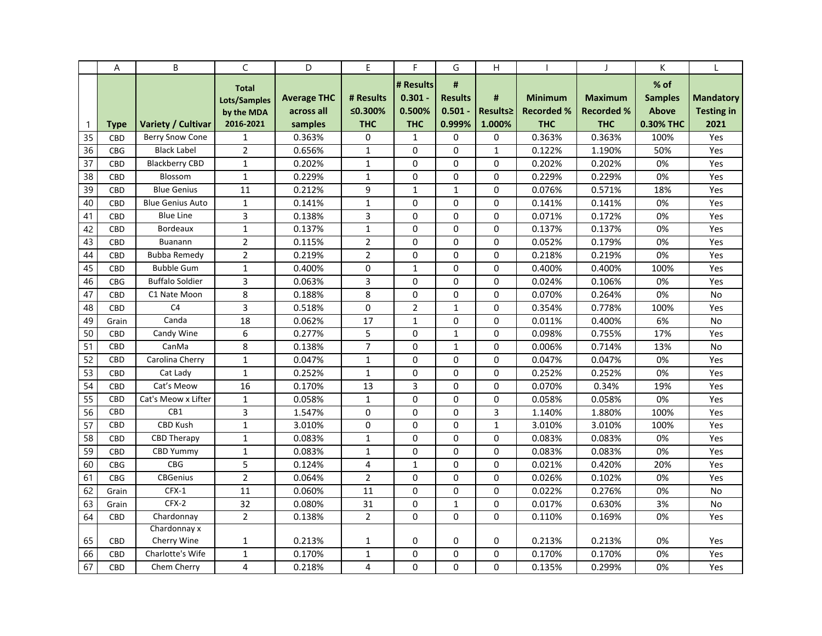|              | Α          | B                       | C              | D                  | E              | F.             | G              | Η            |                   | $\mathbf{I}$      | K              |                   |
|--------------|------------|-------------------------|----------------|--------------------|----------------|----------------|----------------|--------------|-------------------|-------------------|----------------|-------------------|
|              |            |                         | <b>Total</b>   |                    |                | # Results      | #              |              |                   |                   | $%$ of         |                   |
|              |            |                         | Lots/Samples   | <b>Average THC</b> | # Results      | $0.301 -$      | <b>Results</b> | #            | <b>Minimum</b>    | <b>Maximum</b>    | <b>Samples</b> | <b>Mandatory</b>  |
|              |            |                         | by the MDA     | across all         | ≤0.300%        | 0.500%         | $0.501 -$      | Results≥     | <b>Recorded %</b> | <b>Recorded %</b> | <b>Above</b>   | <b>Testing in</b> |
| $\mathbf{1}$ | Type       | Variety / Cultivar      | 2016-2021      | samples            | <b>THC</b>     | <b>THC</b>     | 0.999%         | 1.000%       | <b>THC</b>        | <b>THC</b>        | 0.30% THC      | 2021              |
| 35           | <b>CBD</b> | Berry Snow Cone         | $\mathbf{1}$   | 0.363%             | 0              | $\mathbf{1}$   | 0              | 0            | 0.363%            | 0.363%            | 100%           | Yes               |
| 36           | <b>CBG</b> | <b>Black Label</b>      | $\overline{2}$ | 0.656%             | $\mathbf{1}$   | $\Omega$       | $\Omega$       | $\mathbf{1}$ | 0.122%            | 1.190%            | 50%            | Yes               |
| 37           | CBD        | <b>Blackberry CBD</b>   | $\mathbf{1}$   | 0.202%             | $\mathbf{1}$   | 0              | $\Omega$       | $\Omega$     | 0.202%            | 0.202%            | 0%             | Yes               |
| 38           | <b>CBD</b> | Blossom                 | $\mathbf{1}$   | 0.229%             | $\mathbf{1}$   | 0              | $\mathbf 0$    | $\Omega$     | 0.229%            | 0.229%            | 0%             | Yes               |
| 39           | <b>CBD</b> | <b>Blue Genius</b>      | 11             | 0.212%             | 9              | $\mathbf{1}$   | $\mathbf{1}$   | $\Omega$     | 0.076%            | 0.571%            | 18%            | Yes               |
| 40           | <b>CBD</b> | <b>Blue Genius Auto</b> | $\mathbf{1}$   | 0.141%             | $\mathbf{1}$   | $\Omega$       | $\Omega$       | 0            | 0.141%            | 0.141%            | 0%             | Yes               |
| 41           | <b>CBD</b> | <b>Blue Line</b>        | 3              | 0.138%             | 3              | $\Omega$       | $\Omega$       | $\Omega$     | 0.071%            | 0.172%            | 0%             | Yes               |
| 42           | <b>CBD</b> | <b>Bordeaux</b>         | $\mathbf{1}$   | 0.137%             | $\mathbf{1}$   | 0              | 0              | 0            | 0.137%            | 0.137%            | 0%             | Yes               |
| 43           | <b>CBD</b> | <b>Buanann</b>          | $\overline{2}$ | 0.115%             | $\overline{2}$ | 0              | $\mathbf 0$    | 0            | 0.052%            | 0.179%            | 0%             | Yes               |
| 44           | <b>CBD</b> | Bubba Remedy            | $\overline{2}$ | 0.219%             | $\overline{2}$ | $\Omega$       | 0              | $\Omega$     | 0.218%            | 0.219%            | 0%             | Yes               |
| 45           | CBD        | <b>Bubble Gum</b>       | $\mathbf{1}$   | 0.400%             | $\Omega$       | $\mathbf{1}$   | $\Omega$       | 0            | 0.400%            | 0.400%            | 100%           | Yes               |
| 46           | <b>CBG</b> | <b>Buffalo Soldier</b>  | 3              | 0.063%             | 3              | 0              | $\Omega$       | $\Omega$     | 0.024%            | 0.106%            | 0%             | Yes               |
| 47           | <b>CBD</b> | C1 Nate Moon            | 8              | 0.188%             | 8              | 0              | $\mathbf 0$    | $\Omega$     | 0.070%            | 0.264%            | 0%             | No                |
| 48           | <b>CBD</b> | C <sub>4</sub>          | 3              | 0.518%             | 0              | $\overline{2}$ | $\mathbf 1$    | 0            | 0.354%            | 0.778%            | 100%           | Yes               |
| 49           | Grain      | Canda                   | 18             | 0.062%             | 17             | $\mathbf{1}$   | 0              | $\Omega$     | 0.011%            | 0.400%            | 6%             | No                |
| 50           | <b>CBD</b> | Candy Wine              | 6              | 0.277%             | 5              | 0              | $\mathbf{1}$   | 0            | 0.098%            | 0.755%            | 17%            | Yes               |
| 51           | CBD        | CanMa                   | 8              | 0.138%             | $\overline{7}$ | $\Omega$       | $\mathbf{1}$   | $\Omega$     | 0.006%            | 0.714%            | 13%            | No                |
| 52           | CBD        | Carolina Cherry         | $\mathbf{1}$   | 0.047%             | $\mathbf{1}$   | 0              | $\Omega$       | 0            | 0.047%            | 0.047%            | 0%             | Yes               |
| 53           | CBD        | Cat Lady                | $\mathbf{1}$   | 0.252%             | $\mathbf 1$    | 0              | $\mathbf 0$    | 0            | 0.252%            | 0.252%            | 0%             | Yes               |
| 54           | <b>CBD</b> | Cat's Meow              | 16             | 0.170%             | 13             | 3              | 0              | 0            | 0.070%            | 0.34%             | 19%            | Yes               |
| 55           | CBD        | Cat's Meow x Lifter     | $\mathbf{1}$   | 0.058%             | $\mathbf{1}$   | 0              | $\Omega$       | 0            | 0.058%            | 0.058%            | 0%             | Yes               |
| 56           | <b>CBD</b> | CB1                     | $\overline{3}$ | 1.547%             | $\Omega$       | 0              | $\Omega$       | 3            | 1.140%            | 1.880%            | 100%           | Yes               |
| 57           | CBD        | <b>CBD Kush</b>         | $\mathbf{1}$   | 3.010%             | 0              | 0              | $\mathbf 0$    | $\mathbf{1}$ | 3.010%            | 3.010%            | 100%           | Yes               |
| 58           | <b>CBD</b> | <b>CBD Therapy</b>      | $\mathbf{1}$   | 0.083%             | $\mathbf{1}$   | 0              | $\mathbf 0$    | 0            | 0.083%            | 0.083%            | 0%             | Yes               |
| 59           | <b>CBD</b> | <b>CBD Yummy</b>        | $\mathbf{1}$   | 0.083%             | $\mathbf{1}$   | $\Omega$       | $\Omega$       | 0            | 0.083%            | 0.083%            | 0%             | Yes               |
| 60           | <b>CBG</b> | <b>CBG</b>              | 5              | 0.124%             | 4              | $\mathbf{1}$   | $\Omega$       | $\Omega$     | 0.021%            | 0.420%            | 20%            | Yes               |
| 61           | <b>CBG</b> | <b>CBGenius</b>         | $\overline{2}$ | 0.064%             | $\overline{2}$ | 0              | 0              | 0            | 0.026%            | 0.102%            | 0%             | Yes               |
| 62           | Grain      | $CFX-1$                 | 11             | 0.060%             | 11             | 0              | 0              | 0            | 0.022%            | 0.276%            | 0%             | No                |
| 63           | Grain      | CFX-2                   | 32             | 0.080%             | 31             | 0              | $\mathbf{1}$   | 0            | 0.017%            | 0.630%            | 3%             | No                |
| 64           | <b>CBD</b> | Chardonnay              | $\overline{2}$ | 0.138%             | $\overline{2}$ | $\Omega$       | $\Omega$       | 0            | 0.110%            | 0.169%            | 0%             | Yes               |
|              |            | Chardonnay x            |                |                    |                |                |                |              |                   |                   |                |                   |
| 65           | <b>CBD</b> | Cherry Wine             | 1              | 0.213%             | 1              | 0              | 0              | 0            | 0.213%            | 0.213%            | 0%             | Yes               |
| 66           | <b>CBD</b> | Charlotte's Wife        | $\mathbf{1}$   | 0.170%             | $\mathbf{1}$   | 0              | $\mathbf 0$    | 0            | 0.170%            | 0.170%            | 0%             | Yes               |
| 67           | <b>CBD</b> | Chem Cherry             | 4              | 0.218%             | 4              | $\Omega$       | $\Omega$       | 0            | 0.135%            | 0.299%            | 0%             | Yes               |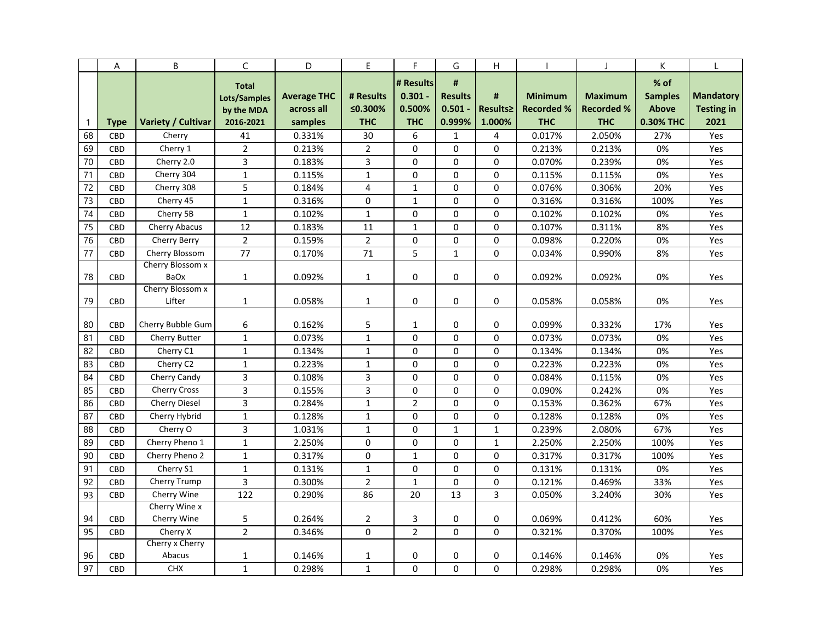|              | A           | B                            | C                                                       | D                                           | E                                  | F                                              | G                                          | H                       |                                                   |                                                   | К                                                   |                                               |
|--------------|-------------|------------------------------|---------------------------------------------------------|---------------------------------------------|------------------------------------|------------------------------------------------|--------------------------------------------|-------------------------|---------------------------------------------------|---------------------------------------------------|-----------------------------------------------------|-----------------------------------------------|
| $\mathbf{1}$ | <b>Type</b> | Variety / Cultivar           | <b>Total</b><br>Lots/Samples<br>by the MDA<br>2016-2021 | <b>Average THC</b><br>across all<br>samples | # Results<br>≤0.300%<br><b>THC</b> | # Results<br>$0.301 -$<br>0.500%<br><b>THC</b> | #<br><b>Results</b><br>$0.501 -$<br>0.999% | #<br>Results≥<br>1.000% | <b>Minimum</b><br><b>Recorded %</b><br><b>THC</b> | <b>Maximum</b><br><b>Recorded %</b><br><b>THC</b> | % of<br><b>Samples</b><br><b>Above</b><br>0.30% THC | <b>Mandatory</b><br><b>Testing in</b><br>2021 |
| 68           | <b>CBD</b>  | Cherry                       | 41                                                      | 0.331%                                      | 30                                 | 6                                              | 1                                          | 4                       | 0.017%                                            | 2.050%                                            | 27%                                                 | Yes                                           |
| 69           | CBD         | Cherry 1                     | $\overline{2}$                                          | 0.213%                                      | $\overline{2}$                     | 0                                              | 0                                          | 0                       | 0.213%                                            | 0.213%                                            | 0%                                                  | Yes                                           |
| 70           | CBD         | Cherry 2.0                   | 3                                                       | 0.183%                                      | 3                                  | 0                                              | $\mathbf 0$                                | 0                       | 0.070%                                            | 0.239%                                            | 0%                                                  | Yes                                           |
| 71           | CBD         | Cherry 304                   | $\mathbf{1}$                                            | 0.115%                                      | $\mathbf{1}$                       | 0                                              | $\Omega$                                   | 0                       | 0.115%                                            | 0.115%                                            | 0%                                                  | Yes                                           |
| 72           | CBD         | Cherry 308                   | 5                                                       | 0.184%                                      | $\overline{4}$                     | $\mathbf{1}$                                   | $\mathbf 0$                                | 0                       | 0.076%                                            | 0.306%                                            | 20%                                                 | Yes                                           |
| 73           | CBD         | Cherry 45                    | $\mathbf{1}$                                            | 0.316%                                      | $\mathbf 0$                        | $\mathbf{1}$                                   | $\Omega$                                   | 0                       | 0.316%                                            | 0.316%                                            | 100%                                                | Yes                                           |
| 74           | <b>CBD</b>  | Cherry 5B                    | $\mathbf{1}$                                            | 0.102%                                      | $\mathbf{1}$                       | 0                                              | $\Omega$                                   | 0                       | 0.102%                                            | 0.102%                                            | 0%                                                  | Yes                                           |
| 75           | CBD         | Cherry Abacus                | 12                                                      | 0.183%                                      | 11                                 | $\mathbf 1$                                    | 0                                          | 0                       | 0.107%                                            | 0.311%                                            | 8%                                                  | Yes                                           |
| 76           | CBD         | Cherry Berry                 | $\overline{2}$                                          | 0.159%                                      | $\overline{2}$                     | 0                                              | $\Omega$                                   | 0                       | 0.098%                                            | 0.220%                                            | 0%                                                  | Yes                                           |
| 77           | CBD         | Cherry Blossom               | 77                                                      | 0.170%                                      | 71                                 | $\overline{5}$                                 | $\mathbf 1$                                | 0                       | 0.034%                                            | 0.990%                                            | 8%                                                  | Yes                                           |
| 78           | CBD         | Cherry Blossom x<br>BaOx     | $\mathbf{1}$                                            | 0.092%                                      | 1                                  | 0                                              | 0                                          | 0                       | 0.092%                                            | 0.092%                                            | 0%                                                  | Yes                                           |
| 79           | CBD         | Cherry Blossom x<br>Lifter   | $\mathbf{1}$                                            | 0.058%                                      | 1                                  | 0                                              | 0                                          | 0                       | 0.058%                                            | 0.058%                                            | 0%                                                  | Yes                                           |
| 80           | <b>CBD</b>  | Cherry Bubble Gum            | 6                                                       | 0.162%                                      | 5                                  | 1                                              | 0                                          | 0                       | 0.099%                                            | 0.332%                                            | 17%                                                 | Yes                                           |
| 81           | CBD         | Cherry Butter                | $\mathbf{1}$                                            | 0.073%                                      | $\mathbf{1}$                       | 0                                              | 0                                          | 0                       | 0.073%                                            | 0.073%                                            | 0%                                                  | Yes                                           |
| 82           | CBD         | Cherry C1                    | $\mathbf{1}$                                            | 0.134%                                      | 1                                  | 0                                              | 0                                          | 0                       | 0.134%                                            | 0.134%                                            | 0%                                                  | Yes                                           |
| 83           | CBD         | Cherry C2                    | $\mathbf{1}$                                            | 0.223%                                      | 1                                  | 0                                              | 0                                          | 0                       | 0.223%                                            | 0.223%                                            | 0%                                                  | Yes                                           |
| 84           | CBD         | Cherry Candy                 | 3                                                       | 0.108%                                      | 3                                  | $\Omega$                                       | $\Omega$                                   | 0                       | 0.084%                                            | 0.115%                                            | 0%                                                  | Yes                                           |
| 85           | CBD         | <b>Cherry Cross</b>          | 3                                                       | 0.155%                                      | $\mathsf{3}$                       | 0                                              | 0                                          | 0                       | 0.090%                                            | 0.242%                                            | 0%                                                  | Yes                                           |
| 86           | CBD         | <b>Cherry Diesel</b>         | 3                                                       | 0.284%                                      | $\mathbf{1}$                       | $\overline{2}$                                 | $\Omega$                                   | 0                       | 0.153%                                            | 0.362%                                            | 67%                                                 | Yes                                           |
| 87           | <b>CBD</b>  | Cherry Hybrid                | $\mathbf{1}$                                            | 0.128%                                      | $\mathbf{1}$                       | $\Omega$                                       | $\Omega$                                   | 0                       | 0.128%                                            | 0.128%                                            | 0%                                                  | Yes                                           |
| 88           | CBD         | Cherry O                     | 3                                                       | 1.031%                                      | $\mathbf{1}$                       | 0                                              | $\mathbf{1}$                               | $\mathbf{1}$            | 0.239%                                            | 2.080%                                            | 67%                                                 | Yes                                           |
| 89           | <b>CBD</b>  | Cherry Pheno 1               | $\mathbf{1}$                                            | 2.250%                                      | $\mathbf 0$                        | 0                                              | $\mathbf 0$                                | 1                       | 2.250%                                            | 2.250%                                            | 100%                                                | Yes                                           |
| 90           | CBD         | Cherry Pheno 2               | $\mathbf{1}$                                            | 0.317%                                      | $\mathbf 0$                        | $\mathbf 1$                                    | $\Omega$                                   | 0                       | 0.317%                                            | 0.317%                                            | 100%                                                | Yes                                           |
| 91           | CBD         | Cherry S1                    | $\mathbf{1}$                                            | 0.131%                                      | $\mathbf{1}$                       | 0                                              | 0                                          | 0                       | 0.131%                                            | 0.131%                                            | 0%                                                  | Yes                                           |
| 92           | CBD         | Cherry Trump                 | 3                                                       | 0.300%                                      | $\overline{2}$                     | $\mathbf{1}$                                   | 0                                          | 0                       | 0.121%                                            | 0.469%                                            | 33%                                                 | Yes                                           |
| 93           | CBD         | Cherry Wine                  | 122                                                     | 0.290%                                      | 86                                 | 20                                             | 13                                         | $\overline{3}$          | 0.050%                                            | 3.240%                                            | 30%                                                 | Yes                                           |
| 94           | CBD         | Cherry Wine x<br>Cherry Wine | 5                                                       | 0.264%                                      | $\overline{2}$                     | 3                                              | 0                                          | 0                       | 0.069%                                            | 0.412%                                            | 60%                                                 | Yes                                           |
| 95           | CBD         | Cherry X                     | $\overline{2}$                                          | 0.346%                                      | $\mathbf 0$                        | $\overline{2}$                                 | $\mathbf 0$                                | 0                       | 0.321%                                            | 0.370%                                            | 100%                                                | Yes                                           |
|              |             | Cherry x Cherry              |                                                         |                                             |                                    |                                                |                                            |                         |                                                   |                                                   |                                                     |                                               |
| 96           | CBD         | Abacus                       | $\mathbf{1}$                                            | 0.146%                                      | 1                                  | 0                                              | 0                                          | 0                       | 0.146%                                            | 0.146%                                            | 0%                                                  | Yes                                           |
| 97           | <b>CBD</b>  | <b>CHX</b>                   | $\mathbf{1}$                                            | 0.298%                                      | $\mathbf{1}$                       | $\Omega$                                       | $\mathbf 0$                                | 0                       | 0.298%                                            | 0.298%                                            | 0%                                                  | Yes                                           |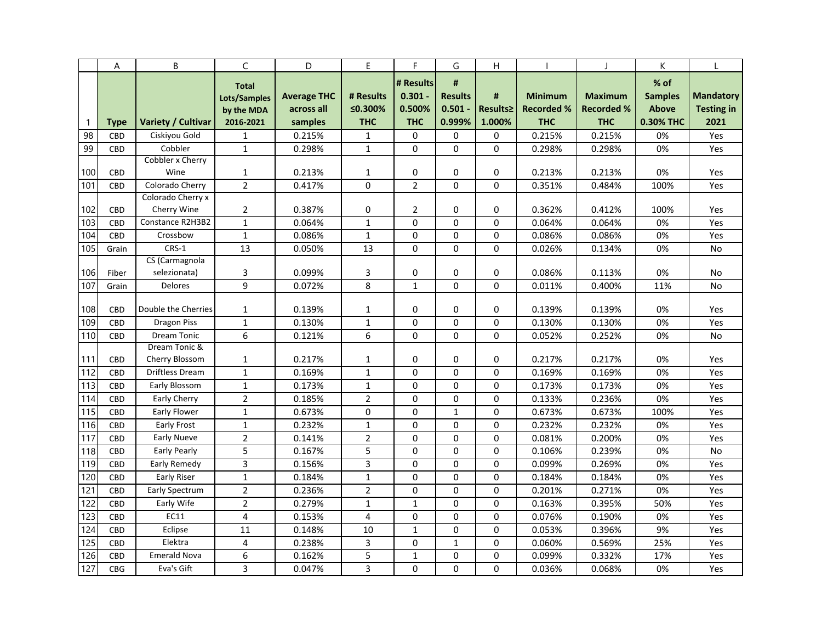|                 | A           | B                      | C                                                       | D                                           | E                                  | F                                              | G                                          | H                       |                                                   |                                                   | К                                                   |                                               |
|-----------------|-------------|------------------------|---------------------------------------------------------|---------------------------------------------|------------------------------------|------------------------------------------------|--------------------------------------------|-------------------------|---------------------------------------------------|---------------------------------------------------|-----------------------------------------------------|-----------------------------------------------|
| $\mathbf{1}$    | <b>Type</b> | Variety / Cultivar     | <b>Total</b><br>Lots/Samples<br>by the MDA<br>2016-2021 | <b>Average THC</b><br>across all<br>samples | # Results<br>≤0.300%<br><b>THC</b> | # Results<br>$0.301 -$<br>0.500%<br><b>THC</b> | #<br><b>Results</b><br>$0.501 -$<br>0.999% | #<br>Results≥<br>1.000% | <b>Minimum</b><br><b>Recorded %</b><br><b>THC</b> | <b>Maximum</b><br><b>Recorded %</b><br><b>THC</b> | % of<br><b>Samples</b><br><b>Above</b><br>0.30% THC | <b>Mandatory</b><br><b>Testing in</b><br>2021 |
| 98              | CBD         | Ciskiyou Gold          | $\mathbf{1}$                                            | 0.215%                                      | 1                                  | 0                                              | 0                                          | 0                       | 0.215%                                            | 0.215%                                            | 0%                                                  | Yes                                           |
| 99              | CBD         | Cobbler                | $\mathbf{1}$                                            | 0.298%                                      | $\mathbf{1}$                       | 0                                              | $\Omega$                                   | 0                       | 0.298%                                            | 0.298%                                            | 0%                                                  | Yes                                           |
|                 |             | Cobbler x Cherry       |                                                         |                                             |                                    |                                                |                                            |                         |                                                   |                                                   |                                                     |                                               |
| 100             | CBD         | Wine                   | 1                                                       | 0.213%                                      | $\mathbf{1}$                       | 0                                              | 0                                          | 0                       | 0.213%                                            | 0.213%                                            | 0%                                                  | Yes                                           |
| 101             | CBD         | Colorado Cherry        | $\overline{2}$                                          | 0.417%                                      | 0                                  | $\overline{2}$                                 | $\mathbf 0$                                | 0                       | 0.351%                                            | 0.484%                                            | 100%                                                | Yes                                           |
|                 |             | Colorado Cherry x      |                                                         |                                             |                                    |                                                |                                            |                         |                                                   |                                                   |                                                     |                                               |
| 102             | CBD         | Cherry Wine            | $\overline{2}$                                          | 0.387%                                      | 0                                  | $\overline{2}$                                 | 0                                          | 0                       | 0.362%                                            | 0.412%                                            | 100%                                                | Yes                                           |
| 103             | CBD         | Constance R2H3B2       | $\mathbf{1}$                                            | 0.064%                                      | $\mathbf{1}$                       | $\Omega$                                       | $\Omega$                                   | 0                       | 0.064%                                            | 0.064%                                            | 0%                                                  | Yes                                           |
| 104             | CBD         | Crossbow               | $\mathbf{1}$                                            | 0.086%                                      | $\mathbf{1}$                       | 0                                              | $\mathbf 0$                                | 0                       | 0.086%                                            | 0.086%                                            | 0%                                                  | Yes                                           |
| 105             | Grain       | CRS-1                  | 13                                                      | 0.050%                                      | 13                                 | 0                                              | $\mathbf 0$                                | 0                       | 0.026%                                            | 0.134%                                            | 0%                                                  | No                                            |
|                 |             | CS (Carmagnola         |                                                         |                                             |                                    |                                                |                                            |                         |                                                   |                                                   |                                                     |                                               |
| 106             | Fiber       | selezionata)           | 3                                                       | 0.099%                                      | 3                                  | 0                                              | $\mathbf 0$                                | 0                       | 0.086%                                            | 0.113%                                            | 0%                                                  | No                                            |
| 107             | Grain       | <b>Delores</b>         | 9                                                       | 0.072%                                      | 8                                  | $\mathbf{1}$                                   | $\Omega$                                   | $\Omega$                | 0.011%                                            | 0.400%                                            | 11%                                                 | No                                            |
| 108             | CBD         | Double the Cherries    | $\mathbf{1}$                                            | 0.139%                                      | $\mathbf{1}$                       | 0                                              | $\Omega$                                   | 0                       | 0.139%                                            | 0.139%                                            | 0%                                                  | Yes                                           |
| 109             | CBD         | Dragon Piss            | $\mathbf{1}$                                            | 0.130%                                      | 1                                  | 0                                              | 0                                          | 0                       | 0.130%                                            | 0.130%                                            | 0%                                                  | Yes                                           |
| 110             | CBD         | <b>Dream Tonic</b>     | 6                                                       | 0.121%                                      | 6                                  | 0                                              | $\Omega$                                   | 0                       | 0.052%                                            | 0.252%                                            | 0%                                                  | No                                            |
|                 |             | Dream Tonic &          |                                                         |                                             |                                    |                                                |                                            |                         |                                                   |                                                   |                                                     |                                               |
| 111             | CBD         | Cherry Blossom         | 1                                                       | 0.217%                                      | 1                                  | $\Omega$                                       | 0                                          | 0                       | 0.217%                                            | 0.217%                                            | 0%                                                  | Yes                                           |
| 112             | CBD         | <b>Driftless Dream</b> | $\mathbf{1}$                                            | 0.169%                                      | $\mathbf 1$                        | $\Omega$                                       | $\Omega$                                   | 0                       | 0.169%                                            | 0.169%                                            | 0%                                                  | Yes                                           |
| 113             | CBD         | Early Blossom          | $\mathbf{1}$                                            | 0.173%                                      | 1                                  | 0                                              | 0                                          | 0                       | 0.173%                                            | 0.173%                                            | 0%                                                  | Yes                                           |
| 114             | CBD         | Early Cherry           | $\overline{2}$                                          | 0.185%                                      | $\overline{2}$                     | 0                                              | 0                                          | 0                       | 0.133%                                            | 0.236%                                            | 0%                                                  | Yes                                           |
| 115             | CBD         | Early Flower           | $\mathbf{1}$                                            | 0.673%                                      | $\Omega$                           | $\Omega$                                       | $\mathbf{1}$                               | 0                       | 0.673%                                            | 0.673%                                            | 100%                                                | Yes                                           |
| 116             | CBD         | <b>Early Frost</b>     | $\mathbf{1}$                                            | 0.232%                                      | $\mathbf{1}$                       | 0                                              | $\mathbf 0$                                | 0                       | 0.232%                                            | 0.232%                                            | 0%                                                  | Yes                                           |
| 117             | CBD         | <b>Early Nueve</b>     | $\overline{2}$                                          | 0.141%                                      | $\overline{2}$                     | 0                                              | $\mathbf 0$                                | 0                       | 0.081%                                            | 0.200%                                            | 0%                                                  | Yes                                           |
| 118             | CBD         | Early Pearly           | 5                                                       | 0.167%                                      | 5                                  | $\Omega$                                       | $\Omega$                                   | 0                       | 0.106%                                            | 0.239%                                            | 0%                                                  | No                                            |
| 119             | CBD         | Early Remedy           | 3                                                       | 0.156%                                      | $\mathsf{3}$                       | 0                                              | 0                                          | 0                       | 0.099%                                            | 0.269%                                            | 0%                                                  | Yes                                           |
| 120             | CBD         | Early Riser            | $\mathbf{1}$                                            | 0.184%                                      | $\mathbf{1}$                       | $\Omega$                                       | $\Omega$                                   | 0                       | 0.184%                                            | 0.184%                                            | 0%                                                  | Yes                                           |
| $\overline{12}$ | CBD         | <b>Early Spectrum</b>  | $\overline{2}$                                          | 0.236%                                      | $\overline{2}$                     | $\Omega$                                       | 0                                          | 0                       | 0.201%                                            | 0.271%                                            | 0%                                                  | Yes                                           |
| 122             | CBD         | Early Wife             | $\overline{2}$                                          | 0.279%                                      | $\mathbf{1}$                       | $\mathbf{1}$                                   | 0                                          | 0                       | 0.163%                                            | 0.395%                                            | 50%                                                 | Yes                                           |
| 123             | CBD         | EC11                   | $\overline{4}$                                          | 0.153%                                      | $\overline{4}$                     | 0                                              | $\mathbf 0$                                | 0                       | 0.076%                                            | 0.190%                                            | 0%                                                  | Yes                                           |
| 124             | CBD         | Eclipse                | 11                                                      | 0.148%                                      | 10                                 | $\mathbf 1$                                    | $\Omega$                                   | 0                       | 0.053%                                            | 0.396%                                            | 9%                                                  | Yes                                           |
| 125             | CBD         | Elektra                | 4                                                       | 0.238%                                      | 3                                  | 0                                              | $\mathbf{1}$                               | 0                       | 0.060%                                            | 0.569%                                            | 25%                                                 | Yes                                           |
| 126             | CBD         | <b>Emerald Nova</b>    | 6                                                       | 0.162%                                      | 5                                  | $\mathbf 1$                                    | $\mathbf 0$                                | 0                       | 0.099%                                            | 0.332%                                            | 17%                                                 | Yes                                           |
| 127             | <b>CBG</b>  | Eva's Gift             | 3                                                       | 0.047%                                      | 3                                  | 0                                              | $\Omega$                                   | 0                       | 0.036%                                            | 0.068%                                            | 0%                                                  | Yes                                           |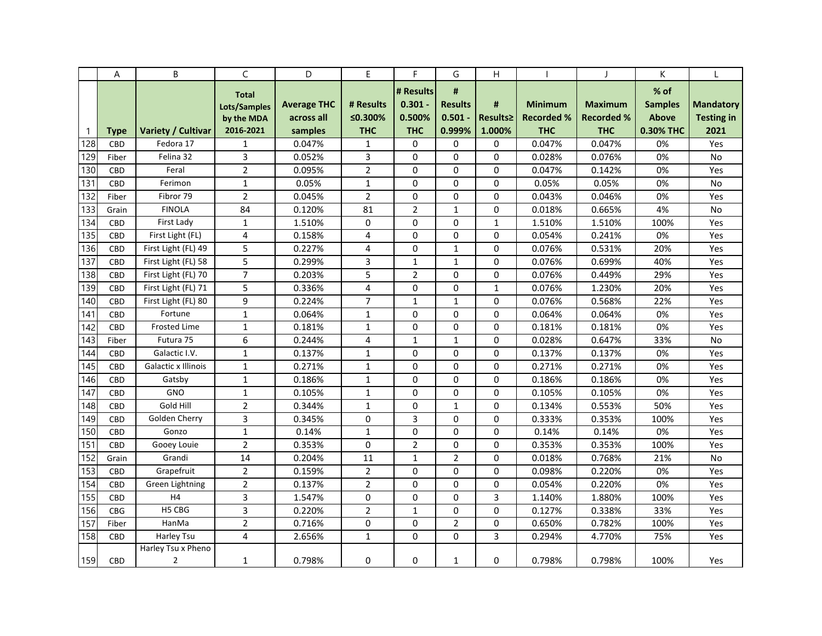|              | Α           | B                                    | $\mathsf{C}$                                            | D                                           | E                                  | F                                              | G                                          | Η                       |                                                   |                                                   | К                                                     |                                               |
|--------------|-------------|--------------------------------------|---------------------------------------------------------|---------------------------------------------|------------------------------------|------------------------------------------------|--------------------------------------------|-------------------------|---------------------------------------------------|---------------------------------------------------|-------------------------------------------------------|-----------------------------------------------|
| $\mathbf{1}$ | <b>Type</b> | Variety / Cultivar                   | <b>Total</b><br>Lots/Samples<br>by the MDA<br>2016-2021 | <b>Average THC</b><br>across all<br>samples | # Results<br>≤0.300%<br><b>THC</b> | # Results<br>$0.301 -$<br>0.500%<br><b>THC</b> | #<br><b>Results</b><br>$0.501 -$<br>0.999% | #<br>Results≥<br>1.000% | <b>Minimum</b><br><b>Recorded %</b><br><b>THC</b> | <b>Maximum</b><br><b>Recorded %</b><br><b>THC</b> | $%$ of<br><b>Samples</b><br><b>Above</b><br>0.30% THC | <b>Mandatory</b><br><b>Testing in</b><br>2021 |
| 128          | <b>CBD</b>  | Fedora 17                            | $\mathbf{1}$                                            | 0.047%                                      | 1                                  | 0                                              | 0                                          | 0                       | 0.047%                                            | 0.047%                                            | 0%                                                    | Yes                                           |
| 129          | Fiber       | Felina 32                            | 3                                                       | 0.052%                                      | 3                                  | 0                                              | $\Omega$                                   | 0                       | 0.028%                                            | 0.076%                                            | 0%                                                    | No                                            |
| 130          | CBD         | Feral                                | $\overline{2}$                                          | 0.095%                                      | $\overline{2}$                     | 0                                              | $\Omega$                                   | 0                       | 0.047%                                            | 0.142%                                            | 0%                                                    | Yes                                           |
| 131          | <b>CBD</b>  | Ferimon                              | $\mathbf{1}$                                            | 0.05%                                       | $\mathbf{1}$                       | 0                                              | $\Omega$                                   | 0                       | 0.05%                                             | 0.05%                                             | 0%                                                    | <b>No</b>                                     |
| 132          | Fiber       | Fibror 79                            | $\overline{2}$                                          | 0.045%                                      | $\overline{2}$                     | 0                                              | $\mathbf 0$                                | 0                       | 0.043%                                            | 0.046%                                            | 0%                                                    | Yes                                           |
| 133          | Grain       | <b>FINOLA</b>                        | 84                                                      | 0.120%                                      | 81                                 | $\overline{2}$                                 | $\mathbf{1}$                               | 0                       | 0.018%                                            | 0.665%                                            | 4%                                                    | No                                            |
| 134          | CBD         | First Lady                           | $\mathbf{1}$                                            | 1.510%                                      | 0                                  | 0                                              | 0                                          | $\mathbf{1}$            | 1.510%                                            | 1.510%                                            | 100%                                                  | Yes                                           |
| 135          | CBD         | First Light (FL)                     | 4                                                       | 0.158%                                      | 4                                  | 0                                              | 0                                          | 0                       | 0.054%                                            | 0.241%                                            | 0%                                                    | Yes                                           |
| 136          | <b>CBD</b>  | First Light (FL) 49                  | 5                                                       | 0.227%                                      | 4                                  | 0                                              | $\mathbf{1}$                               | 0                       | 0.076%                                            | 0.531%                                            | 20%                                                   | Yes                                           |
| 137          | <b>CBD</b>  | First Light (FL) 58                  | 5                                                       | 0.299%                                      | 3                                  | $\mathbf{1}$                                   | 1                                          | 0                       | 0.076%                                            | 0.699%                                            | 40%                                                   | Yes                                           |
| 138          | CBD         | First Light (FL) 70                  | $\overline{7}$                                          | 0.203%                                      | 5                                  | $\overline{2}$                                 | $\Omega$                                   | 0                       | 0.076%                                            | 0.449%                                            | 29%                                                   | Yes                                           |
| 139          | CBD         | First Light (FL) 71                  | 5                                                       | 0.336%                                      | $\overline{4}$                     | 0                                              | $\Omega$                                   | $\mathbf{1}$            | 0.076%                                            | 1.230%                                            | 20%                                                   | Yes                                           |
| 140          | CBD         | First Light (FL) 80                  | 9                                                       | 0.224%                                      | $\overline{7}$                     | $\mathbf{1}$                                   | $\mathbf{1}$                               | 0                       | 0.076%                                            | 0.568%                                            | 22%                                                   | Yes                                           |
| 141          | CBD         | Fortune                              | $\mathbf{1}$                                            | 0.064%                                      | $\mathbf{1}$                       | 0                                              | $\mathbf 0$                                | $\mathbf 0$             | 0.064%                                            | 0.064%                                            | 0%                                                    | Yes                                           |
| 142          | <b>CBD</b>  | <b>Frosted Lime</b>                  | $\mathbf{1}$                                            | 0.181%                                      | $\mathbf{1}$                       | 0                                              | $\Omega$                                   | 0                       | 0.181%                                            | 0.181%                                            | 0%                                                    | Yes                                           |
| 143          | Fiber       | Futura 75                            | 6                                                       | 0.244%                                      | 4                                  | $\mathbf 1$                                    | $\mathbf{1}$                               | 0                       | 0.028%                                            | 0.647%                                            | 33%                                                   | No                                            |
| 144          | CBD         | Galactic I.V.                        | $\mathbf{1}$                                            | 0.137%                                      | 1                                  | 0                                              | $\Omega$                                   | 0                       | 0.137%                                            | 0.137%                                            | 0%                                                    | Yes                                           |
| 145          | CBD         | Galactic x Illinois                  | $\mathbf{1}$                                            | 0.271%                                      | $\mathbf{1}$                       | $\Omega$                                       | $\Omega$                                   | 0                       | 0.271%                                            | 0.271%                                            | 0%                                                    | Yes                                           |
| 146          | CBD         | Gatsby                               | $\mathbf{1}$                                            | 0.186%                                      | 1                                  | 0                                              | $\mathbf 0$                                | 0                       | 0.186%                                            | 0.186%                                            | 0%                                                    | Yes                                           |
| 147          | <b>CBD</b>  | GNO                                  | $\mathbf{1}$                                            | 0.105%                                      | $\mathbf{1}$                       | $\Omega$                                       | $\Omega$                                   | 0                       | 0.105%                                            | 0.105%                                            | 0%                                                    | Yes                                           |
| 148          | CBD         | Gold Hill                            | $\overline{2}$                                          | 0.344%                                      | $\mathbf{1}$                       | 0                                              | $\mathbf{1}$                               | 0                       | 0.134%                                            | 0.553%                                            | 50%                                                   | Yes                                           |
| 149          | <b>CBD</b>  | Golden Cherry                        | 3                                                       | 0.345%                                      | $\Omega$                           | 3                                              | $\Omega$                                   | 0                       | 0.333%                                            | 0.353%                                            | 100%                                                  | Yes                                           |
| 150          | CBD         | Gonzo                                | $\mathbf{1}$                                            | 0.14%                                       | $\mathbf{1}$                       | 0                                              | $\Omega$                                   | 0                       | 0.14%                                             | 0.14%                                             | 0%                                                    | Yes                                           |
| 151          | <b>CBD</b>  | Gooey Louie                          | $\overline{2}$                                          | 0.353%                                      | $\mathbf 0$                        | $\overline{2}$                                 | $\mathbf 0$                                | 0                       | 0.353%                                            | 0.353%                                            | 100%                                                  | Yes                                           |
| 152          | Grain       | Grandi                               | 14                                                      | 0.204%                                      | 11                                 | $\mathbf 1$                                    | $\overline{2}$                             | 0                       | 0.018%                                            | 0.768%                                            | 21%                                                   | No                                            |
| 153          | CBD         | Grapefruit                           | $\overline{2}$                                          | 0.159%                                      | $\overline{2}$                     | 0                                              | 0                                          | 0                       | 0.098%                                            | 0.220%                                            | 0%                                                    | Yes                                           |
| 154          | CBD         | Green Lightning                      | $\overline{2}$                                          | 0.137%                                      | 2                                  | 0                                              | $\Omega$                                   | 0                       | 0.054%                                            | 0.220%                                            | 0%                                                    | Yes                                           |
| 155          | CBD         | H4                                   | 3                                                       | 1.547%                                      | 0                                  | 0                                              | 0                                          | 3                       | 1.140%                                            | 1.880%                                            | 100%                                                  | Yes                                           |
| 156          | <b>CBG</b>  | H5 CBG                               | 3                                                       | 0.220%                                      | $\overline{2}$                     | $\mathbf{1}$                                   | $\Omega$                                   | 0                       | 0.127%                                            | 0.338%                                            | 33%                                                   | Yes                                           |
| 157          | Fiber       | HanMa                                | $\overline{2}$                                          | 0.716%                                      | $\mathbf 0$                        | 0                                              | $\overline{2}$                             | 0                       | 0.650%                                            | 0.782%                                            | 100%                                                  | Yes                                           |
| 158          | CBD         | Harley Tsu                           | 4                                                       | 2.656%                                      | $\mathbf{1}$                       | 0                                              | $\Omega$                                   | 3                       | 0.294%                                            | 4.770%                                            | 75%                                                   | Yes                                           |
| 159          | CBD         | Harley Tsu x Pheno<br>$\overline{2}$ | $\mathbf{1}$                                            | 0.798%                                      | 0                                  | 0                                              | $\mathbf 1$                                | 0                       | 0.798%                                            | 0.798%                                            | 100%                                                  | Yes                                           |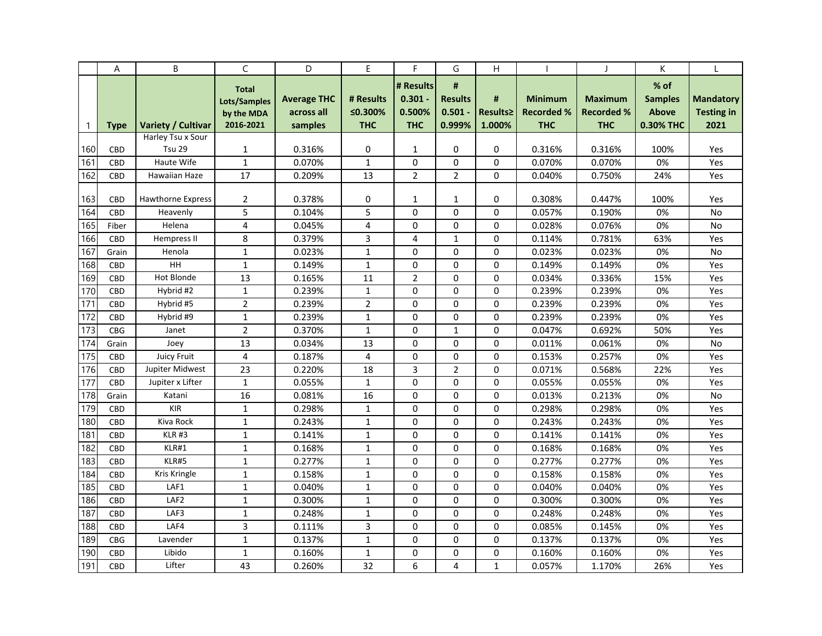|              | A          | B                         | C               | D                  | E              | F              | G              | H            |                   | $\mathbf{I}$      | K              |                   |
|--------------|------------|---------------------------|-----------------|--------------------|----------------|----------------|----------------|--------------|-------------------|-------------------|----------------|-------------------|
|              |            |                           | <b>Total</b>    |                    |                | # Results      | #              |              |                   |                   | $%$ of         |                   |
|              |            |                           | Lots/Samples    | <b>Average THC</b> | # Results      | $0.301 -$      | <b>Results</b> | #            | <b>Minimum</b>    | <b>Maximum</b>    | <b>Samples</b> | <b>Mandatory</b>  |
|              |            |                           | by the MDA      | across all         | ≤0.300%        | 0.500%         | $0.501 -$      | Results≥     | <b>Recorded %</b> | <b>Recorded %</b> | <b>Above</b>   | <b>Testing in</b> |
| $\mathbf{1}$ | Type       | <b>Variety / Cultivar</b> | 2016-2021       | samples            | <b>THC</b>     | <b>THC</b>     | 0.999%         | 1.000%       | <b>THC</b>        | <b>THC</b>        | 0.30% THC      | 2021              |
|              |            | Harley Tsu x Sour         |                 |                    |                |                |                |              |                   |                   |                |                   |
| 160          | CBD        | <b>Tsu 29</b>             | 1               | 0.316%             | 0              | 1              | 0              | $\Omega$     | 0.316%            | 0.316%            | 100%           | Yes               |
| 161          | CBD        | Haute Wife                | $\mathbf{1}$    | 0.070%             | $\mathbf{1}$   | $\Omega$       | $\Omega$       | $\Omega$     | 0.070%            | 0.070%            | 0%             | Yes               |
| 162          | <b>CBD</b> | Hawaiian Haze             | 17              | 0.209%             | 13             | $\overline{2}$ | $\overline{2}$ | $\Omega$     | 0.040%            | 0.750%            | 24%            | Yes               |
|              |            |                           |                 |                    |                |                |                |              |                   |                   |                |                   |
| 163          | <b>CBD</b> | <b>Hawthorne Express</b>  | $\overline{2}$  | 0.378%             | 0              | 1              | $\mathbf{1}$   | 0            | 0.308%            | 0.447%            | 100%           | Yes               |
| 164          | CBD        | Heavenly                  | 5               | 0.104%             | 5              | 0              | $\Omega$       | $\Omega$     | 0.057%            | 0.190%            | 0%             | No                |
| 165          | Fiber      | Helena                    | $\overline{4}$  | 0.045%             | 4              | 0              | $\Omega$       | 0            | 0.028%            | 0.076%            | 0%             | No                |
| 166          | <b>CBD</b> | Hempress II               | 8               | 0.379%             | 3              | 4              | $\mathbf{1}$   | 0            | 0.114%            | 0.781%            | 63%            | Yes               |
| 167          | Grain      | Henola                    | $\mathbf{1}$    | 0.023%             | $\mathbf{1}$   | 0              | 0              | 0            | 0.023%            | 0.023%            | 0%             | No                |
| 168          | <b>CBD</b> | HH                        | $\mathbf{1}$    | 0.149%             | $\mathbf{1}$   | 0              | $\Omega$       | 0            | 0.149%            | 0.149%            | 0%             | Yes               |
| 169          | <b>CBD</b> | <b>Hot Blonde</b>         | 13              | 0.165%             | 11             | $\overline{2}$ | $\mathbf 0$    | $\Omega$     | 0.034%            | 0.336%            | 15%            | Yes               |
| 170          | CBD        | Hybrid #2                 | $\mathbf{1}$    | 0.239%             | $\mathbf{1}$   | 0              | 0              | $\Omega$     | 0.239%            | 0.239%            | 0%             | Yes               |
| 171          | <b>CBD</b> | Hybrid #5                 | $\overline{2}$  | 0.239%             | $\overline{2}$ | 0              | $\mathbf 0$    | 0            | 0.239%            | 0.239%            | 0%             | Yes               |
| 172          | CBD        | Hybrid #9                 | $\mathbf 1$     | 0.239%             | $\mathbf{1}$   | $\mathbf 0$    | $\mathbf 0$    | 0            | 0.239%            | 0.239%            | 0%             | Yes               |
| 173          | <b>CBG</b> | Janet                     | $\overline{2}$  | 0.370%             | $\mathbf{1}$   | 0              | $\mathbf{1}$   | 0            | 0.047%            | 0.692%            | 50%            | Yes               |
| 174          | Grain      | Joey                      | 13              | 0.034%             | 13             | $\mathbf 0$    | 0              | 0            | 0.011%            | 0.061%            | 0%             | No                |
| 175          | CBD        | Juicy Fruit               | $\overline{4}$  | 0.187%             | 4              | 0              | 0              | $\mathbf 0$  | 0.153%            | 0.257%            | 0%             | Yes               |
| 176          | <b>CBD</b> | Jupiter Midwest           | 23              | 0.220%             | 18             | 3              | $\overline{2}$ | $\Omega$     | 0.071%            | 0.568%            | 22%            | Yes               |
| 177          | CBD        | Jupiter x Lifter          | $\mathbf{1}$    | 0.055%             | $\mathbf{1}$   | 0              | $\mathbf 0$    | 0            | 0.055%            | 0.055%            | 0%             | Yes               |
| 178          | Grain      | Katani                    | $\overline{16}$ | 0.081%             | 16             | 0              | $\mathbf 0$    | $\mathbf 0$  | 0.013%            | 0.213%            | 0%             | No                |
| 179          | <b>CBD</b> | <b>KIR</b>                | $\mathbf{1}$    | 0.298%             | $\mathbf{1}$   | 0              | $\mathbf 0$    | 0            | 0.298%            | 0.298%            | 0%             | Yes               |
| 180          | <b>CBD</b> | Kiva Rock                 | $\mathbf{1}$    | 0.243%             | $\mathbf{1}$   | $\mathbf 0$    | $\mathbf 0$    | 0            | 0.243%            | 0.243%            | 0%             | Yes               |
| 181          | CBD        | <b>KLR #3</b>             | $\mathbf{1}$    | 0.141%             | $\mathbf 1$    | 0              | $\mathbf 0$    | 0            | 0.141%            | 0.141%            | 0%             | Yes               |
| 182          | <b>CBD</b> | KLR#1                     | $\mathbf{1}$    | 0.168%             | $\mathbf{1}$   | 0              | $\mathbf 0$    | 0            | 0.168%            | 0.168%            | 0%             | Yes               |
| 183          | CBD        | KLR#5                     | $\mathbf{1}$    | 0.277%             | $\mathbf{1}$   | 0              | $\mathbf 0$    | 0            | 0.277%            | 0.277%            | 0%             | Yes               |
| 184          | CBD        | Kris Kringle              | $\mathbf{1}$    | 0.158%             | $\mathbf{1}$   | 0              | 0              | 0            | 0.158%            | 0.158%            | 0%             | Yes               |
| 185          | <b>CBD</b> | LAF1                      | $\mathbf{1}$    | 0.040%             | $\mathbf{1}$   | $\mathbf 0$    | 0              | $\Omega$     | 0.040%            | 0.040%            | 0%             | Yes               |
| 186          | CBD        | LAF <sub>2</sub>          | $\mathbf{1}$    | 0.300%             | 1              | $\mathbf 0$    | 0              | 0            | 0.300%            | 0.300%            | 0%             | Yes               |
| 187          | CBD        | LAF3                      | $\mathbf{1}$    | 0.248%             | $\mathbf 1$    | 0              | 0              | $\mathbf 0$  | 0.248%            | 0.248%            | 0%             | Yes               |
| 188          | CBD        | LAF4                      | 3               | 0.111%             | 3              | 0              | $\mathbf 0$    | 0            | 0.085%            | 0.145%            | 0%             | Yes               |
| 189          | <b>CBG</b> | Lavender                  | $\mathbf 1$     | 0.137%             | $\mathbf 1$    | $\Omega$       | $\Omega$       | 0            | 0.137%            | 0.137%            | 0%             | Yes               |
| 190          | CBD        | Libido                    | $\mathbf{1}$    | 0.160%             | $\mathbf{1}$   | 0              | 0              | 0            | 0.160%            | 0.160%            | 0%             | Yes               |
| 191          | CBD        | Lifter                    | 43              | 0.260%             | 32             | 6              | 4              | $\mathbf{1}$ | 0.057%            | 1.170%            | 26%            | Yes               |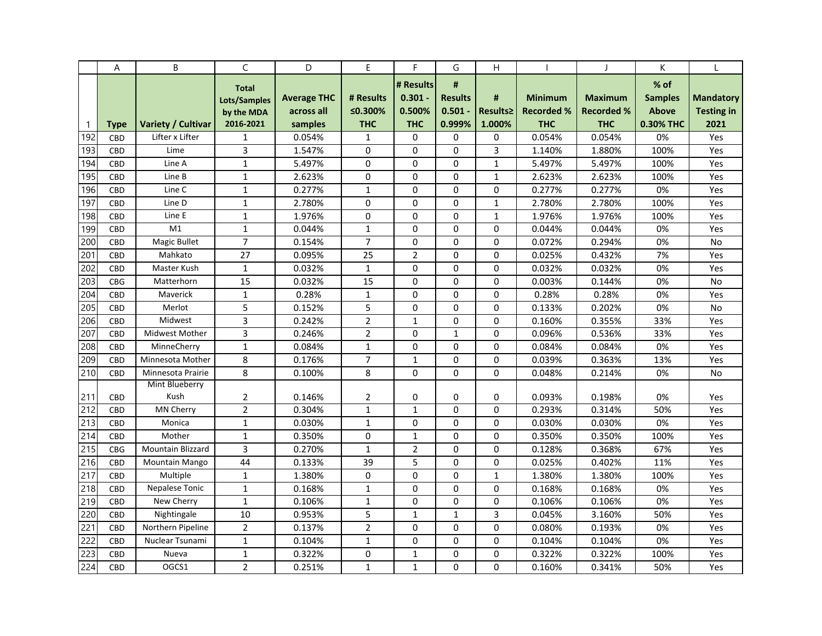|                 | Α           | B                         | C              | D                  | E              | F              | G              | Н            |                   |                   | K              |                   |
|-----------------|-------------|---------------------------|----------------|--------------------|----------------|----------------|----------------|--------------|-------------------|-------------------|----------------|-------------------|
|                 |             |                           | <b>Total</b>   |                    |                | # Results      | #              |              |                   |                   | % of           |                   |
|                 |             |                           | Lots/Samples   | <b>Average THC</b> | # Results      | $0.301 -$      | <b>Results</b> | #            | <b>Minimum</b>    | <b>Maximum</b>    | <b>Samples</b> | <b>Mandatory</b>  |
|                 |             |                           | by the MDA     | across all         | ≤0.300%        | 0.500%         | $0.501 -$      | Results≥     | <b>Recorded %</b> | <b>Recorded %</b> | <b>Above</b>   | <b>Testing in</b> |
| $\mathbf{1}$    | <b>Type</b> | <b>Variety / Cultivar</b> | 2016-2021      | samples            | <b>THC</b>     | <b>THC</b>     | 0.999%         | 1.000%       | <b>THC</b>        | <b>THC</b>        | 0.30% THC      | 2021              |
| 192             | CBD         | Lifter x Lifter           | $\mathbf{1}$   | 0.054%             | 1              | 0              | 0              | 0            | 0.054%            | 0.054%            | 0%             | Yes               |
| 193             | CBD         | Lime                      | 3              | 1.547%             | $\Omega$       | 0              | $\Omega$       | 3            | 1.140%            | 1.880%            | 100%           | Yes               |
| 194             | CBD         | Line A                    | $\mathbf{1}$   | 5.497%             | 0              | 0              | 0              | $\mathbf{1}$ | 5.497%            | 5.497%            | 100%           | Yes               |
| 195             | <b>CBD</b>  | Line B                    | $\mathbf{1}$   | 2.623%             | 0              | $\Omega$       | $\mathbf 0$    | $\mathbf{1}$ | 2.623%            | 2.623%            | 100%           | Yes               |
| 196             | CBD         | Line C                    | $\mathbf{1}$   | 0.277%             | $\mathbf{1}$   | 0              | $\Omega$       | $\Omega$     | 0.277%            | 0.277%            | 0%             | Yes               |
| 197             | <b>CBD</b>  | Line D                    | $\mathbf{1}$   | 2.780%             | $\Omega$       | $\Omega$       | $\Omega$       | $\mathbf{1}$ | 2.780%            | 2.780%            | 100%           | Yes               |
| 198             | <b>CBD</b>  | Line E                    | $\mathbf{1}$   | 1.976%             | $\Omega$       | $\Omega$       | $\Omega$       | $\mathbf{1}$ | 1.976%            | 1.976%            | 100%           | Yes               |
| 199             | CBD         | M1                        | $\mathbf{1}$   | 0.044%             | $\mathbf{1}$   | $\Omega$       | $\Omega$       | $\Omega$     | 0.044%            | 0.044%            | 0%             | Yes               |
| 200             | <b>CBD</b>  | Magic Bullet              | $\overline{7}$ | 0.154%             | $\overline{7}$ | 0              | $\Omega$       | 0            | 0.072%            | 0.294%            | 0%             | <b>No</b>         |
| 20 <sup>2</sup> | CBD         | Mahkato                   | 27             | 0.095%             | 25             | $\overline{2}$ | $\mathbf 0$    | 0            | 0.025%            | 0.432%            | 7%             | Yes               |
| 202             | CBD         | Master Kush               | $\mathbf{1}$   | 0.032%             | $\mathbf{1}$   | 0              | $\Omega$       | 0            | 0.032%            | 0.032%            | 0%             | Yes               |
| 203             | <b>CBG</b>  | Matterhorn                | 15             | 0.032%             | 15             | 0              | $\Omega$       | 0            | 0.003%            | 0.144%            | 0%             | No                |
| 204             | <b>CBD</b>  | Maverick                  | $\mathbf{1}$   | 0.28%              | $\mathbf{1}$   | $\Omega$       | $\Omega$       | $\Omega$     | 0.28%             | 0.28%             | 0%             | Yes               |
| 205             | <b>CBD</b>  | Merlot                    | 5              | 0.152%             | 5              | 0              | 0              | $\Omega$     | 0.133%            | 0.202%            | 0%             | No                |
| 206             | CBD         | Midwest                   | 3              | 0.242%             | $\overline{2}$ | $\mathbf{1}$   | $\mathbf 0$    | 0            | 0.160%            | 0.355%            | 33%            | Yes               |
| 207             | CBD         | Midwest Mother            | 3              | 0.246%             | 2              | 0              | $\mathbf{1}$   | $\Omega$     | 0.096%            | 0.536%            | 33%            | Yes               |
| 208             | <b>CBD</b>  | MinneCherry               | $\mathbf{1}$   | 0.084%             | $\mathbf{1}$   | 0              | $\Omega$       | $\Omega$     | 0.084%            | 0.084%            | 0%             | Yes               |
| 209             | <b>CBD</b>  | Minnesota Mother          | 8              | 0.176%             | $\overline{7}$ | $\mathbf{1}$   | $\mathbf 0$    | $\Omega$     | 0.039%            | 0.363%            | 13%            | Yes               |
| 210             | CBD         | Minnesota Prairie         | 8              | 0.100%             | 8              | 0              | $\Omega$       | $\Omega$     | 0.048%            | 0.214%            | 0%             | No                |
|                 |             | Mint Blueberry            |                |                    |                |                |                |              |                   |                   |                |                   |
| 211             | <b>CBD</b>  | Kush                      | $\overline{2}$ | 0.146%             | 2              | 0              | 0              | 0            | 0.093%            | 0.198%            | 0%             | Yes               |
| 212             | <b>CBD</b>  | <b>MN Cherry</b>          | $\overline{2}$ | 0.304%             | $\mathbf 1$    | $\mathbf{1}$   | $\Omega$       | $\Omega$     | 0.293%            | 0.314%            | 50%            | Yes               |
| 213             | <b>CBD</b>  | Monica                    | $\mathbf{1}$   | 0.030%             | $\mathbf{1}$   | 0              | $\Omega$       | 0            | 0.030%            | 0.030%            | 0%             | Yes               |
| 214             | <b>CBD</b>  | Mother                    | $\mathbf{1}$   | 0.350%             | 0              | $\mathbf{1}$   | $\mathbf 0$    | 0            | 0.350%            | 0.350%            | 100%           | Yes               |
| 215             | <b>CBG</b>  | <b>Mountain Blizzard</b>  | 3              | 0.270%             | $\mathbf{1}$   | $\overline{2}$ | $\Omega$       | 0            | 0.128%            | 0.368%            | 67%            | Yes               |
| 216             | <b>CBD</b>  | <b>Mountain Mango</b>     | 44             | 0.133%             | 39             | 5              | $\Omega$       | 0            | 0.025%            | 0.402%            | 11%            | Yes               |
| 217             | <b>CBD</b>  | Multiple                  | $\mathbf{1}$   | 1.380%             | 0              | 0              | $\mathbf 0$    | $\mathbf{1}$ | 1.380%            | 1.380%            | 100%           | Yes               |
| 218             | CBD         | <b>Nepalese Tonic</b>     | 1              | 0.168%             | $\mathbf{1}$   | 0              | $\Omega$       | 0            | 0.168%            | 0.168%            | 0%             | Yes               |
| 219             | CBD         | New Cherry                | $\mathbf{1}$   | 0.106%             | 1              | 0              | 0              | 0            | 0.106%            | 0.106%            | 0%             | Yes               |
| 220             | CBD         | Nightingale               | 10             | 0.953%             | 5              | $\mathbf{1}$   | $\mathbf{1}$   | 3            | 0.045%            | 3.160%            | 50%            | Yes               |
| 221             | <b>CBD</b>  | Northern Pipeline         | $\overline{2}$ | 0.137%             | $\overline{2}$ | 0              | 0              | $\Omega$     | 0.080%            | 0.193%            | 0%             | Yes               |
| 222             | <b>CBD</b>  | Nuclear Tsunami           | $\mathbf{1}$   | 0.104%             | $\mathbf 1$    | 0              | $\mathbf 0$    | 0            | 0.104%            | 0.104%            | 0%             | Yes               |
| 223             | <b>CBD</b>  | Nueva                     | 1              | 0.322%             | 0              | $\mathbf{1}$   | 0              | $\Omega$     | 0.322%            | 0.322%            | 100%           | Yes               |
| 224             | <b>CBD</b>  | OGCS1                     | $\overline{2}$ | 0.251%             | $\mathbf{1}$   | $\mathbf{1}$   | $\Omega$       | 0            | 0.160%            | 0.341%            | 50%            | Yes               |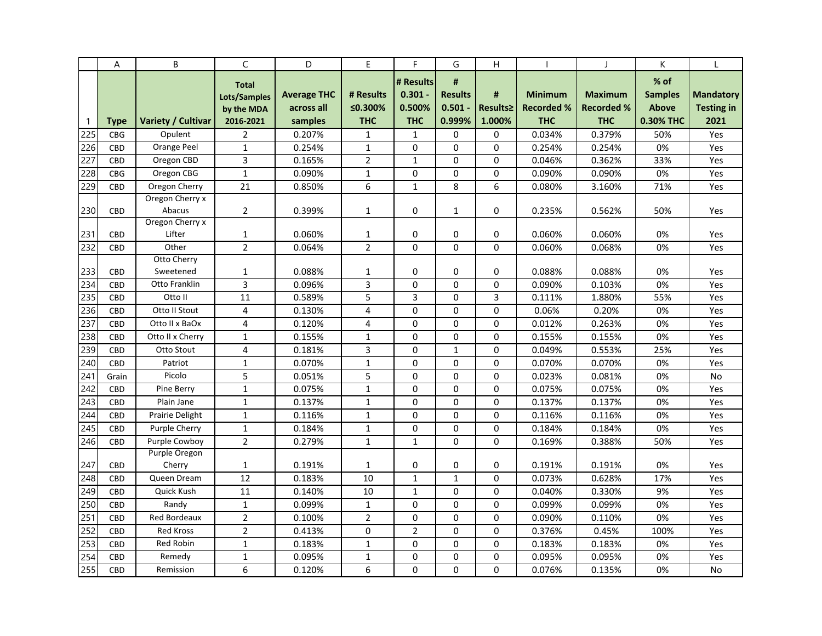|              | Α          | B                         | C                                                       | D                                           | E                                  | F                                              | G                                          | H                       |                                                   | $\mathbf{I}$                                      | К                                                     |                                               |
|--------------|------------|---------------------------|---------------------------------------------------------|---------------------------------------------|------------------------------------|------------------------------------------------|--------------------------------------------|-------------------------|---------------------------------------------------|---------------------------------------------------|-------------------------------------------------------|-----------------------------------------------|
| $\mathbf{1}$ | Type       | Variety / Cultivar        | <b>Total</b><br>Lots/Samples<br>by the MDA<br>2016-2021 | <b>Average THC</b><br>across all<br>samples | # Results<br>≤0.300%<br><b>THC</b> | # Results<br>$0.301 -$<br>0.500%<br><b>THC</b> | #<br><b>Results</b><br>$0.501 -$<br>0.999% | #<br>Results≥<br>1.000% | <b>Minimum</b><br><b>Recorded %</b><br><b>THC</b> | <b>Maximum</b><br><b>Recorded %</b><br><b>THC</b> | $%$ of<br><b>Samples</b><br><b>Above</b><br>0.30% THC | <b>Mandatory</b><br><b>Testing in</b><br>2021 |
| 225          | <b>CBG</b> | Opulent                   | $\overline{2}$                                          | 0.207%                                      | 1                                  | 1                                              | 0                                          | 0                       | 0.034%                                            | 0.379%                                            | 50%                                                   | Yes                                           |
| 226          | CBD        | Orange Peel               | $\mathbf{1}$                                            | 0.254%                                      | $\mathbf{1}$                       | 0                                              | $\mathbf 0$                                | $\mathbf 0$             | 0.254%                                            | 0.254%                                            | 0%                                                    | Yes                                           |
| 227          | CBD        | Oregon CBD                | 3                                                       | 0.165%                                      | $\overline{2}$                     | $\mathbf{1}$                                   | 0                                          | $\Omega$                | 0.046%                                            | 0.362%                                            | 33%                                                   | Yes                                           |
| 228          | <b>CBG</b> | Oregon CBG                | $\mathbf{1}$                                            | 0.090%                                      | $\mathbf 1$                        | 0                                              | $\mathbf 0$                                | 0                       | 0.090%                                            | 0.090%                                            | 0%                                                    | Yes                                           |
| 229          | CBD        | Oregon Cherry             | 21                                                      | 0.850%                                      | 6                                  | $\mathbf{1}$                                   | 8                                          | 6                       | 0.080%                                            | 3.160%                                            | 71%                                                   | Yes                                           |
| 230          | CBD        | Oregon Cherry x<br>Abacus | $\overline{2}$                                          | 0.399%                                      | 1                                  | 0                                              | $\mathbf{1}$                               | 0                       | 0.235%                                            | 0.562%                                            | 50%                                                   | Yes                                           |
|              |            | Oregon Cherry x<br>Lifter |                                                         |                                             |                                    | 0                                              | 0                                          | 0                       |                                                   |                                                   |                                                       |                                               |
| 231<br>232   | CBD<br>CBD | Other                     | 1<br>$\overline{2}$                                     | 0.060%<br>0.064%                            | 1<br>$\overline{2}$                | $\Omega$                                       | $\Omega$                                   | $\Omega$                | 0.060%<br>0.060%                                  | 0.060%<br>0.068%                                  | 0%<br>0%                                              | Yes<br>Yes                                    |
| 233          | <b>CBD</b> | Otto Cherry<br>Sweetened  | $\mathbf{1}$                                            | 0.088%                                      | $\mathbf{1}$                       | 0                                              | 0                                          | 0                       | 0.088%                                            | 0.088%                                            | 0%                                                    | Yes                                           |
| 234          | CBD        | Otto Franklin             | 3                                                       | 0.096%                                      | 3                                  | 0                                              | $\Omega$                                   | $\Omega$                | 0.090%                                            | 0.103%                                            | 0%                                                    | Yes                                           |
| 235          | <b>CBD</b> | Otto II                   | 11                                                      | 0.589%                                      | 5                                  | 3                                              | 0                                          | 3                       | 0.111%                                            | 1.880%                                            | 55%                                                   | Yes                                           |
| 236          | CBD        | Otto II Stout             | $\overline{4}$                                          | 0.130%                                      | 4                                  | 0                                              | $\mathbf 0$                                | 0                       | 0.06%                                             | 0.20%                                             | 0%                                                    | Yes                                           |
| 237          | CBD        | Otto II x BaOx            | 4                                                       | 0.120%                                      | 4                                  | $\mathbf 0$                                    | 0                                          | 0                       | 0.012%                                            | 0.263%                                            | 0%                                                    | Yes                                           |
| 238          | CBD        | Otto II x Cherry          | $\mathbf{1}$                                            | 0.155%                                      | $\mathbf{1}$                       | $\mathbf 0$                                    | $\Omega$                                   | 0                       | 0.155%                                            | 0.155%                                            | 0%                                                    | Yes                                           |
| 239          | CBD        | Otto Stout                | $\overline{4}$                                          | 0.181%                                      | 3                                  | 0                                              | $\mathbf{1}$                               | $\mathbf 0$             | 0.049%                                            | 0.553%                                            | 25%                                                   | Yes                                           |
| 240          | CBD        | Patriot                   | $\mathbf{1}$                                            | 0.070%                                      | $\mathbf{1}$                       | 0                                              | $\Omega$                                   | 0                       | 0.070%                                            | 0.070%                                            | 0%                                                    | Yes                                           |
| 241          | Grain      | Picolo                    | 5                                                       | 0.051%                                      | 5                                  | $\mathbf 0$                                    | $\mathbf 0$                                | 0                       | 0.023%                                            | 0.081%                                            | 0%                                                    | No                                            |
| 242          | <b>CBD</b> | Pine Berry                | $\mathbf{1}$                                            | 0.075%                                      | $\mathbf{1}$                       | 0                                              | $\Omega$                                   | $\Omega$                | 0.075%                                            | 0.075%                                            | 0%                                                    | Yes                                           |
| 243          | CBD        | Plain Jane                | $\mathbf{1}$                                            | 0.137%                                      | $\mathbf 1$                        | 0                                              | 0                                          | $\Omega$                | 0.137%                                            | 0.137%                                            | 0%                                                    | Yes                                           |
| 244          | <b>CBD</b> | Prairie Delight           | $\mathbf{1}$                                            | 0.116%                                      | $\mathbf{1}$                       | 0                                              | $\Omega$                                   | 0                       | 0.116%                                            | 0.116%                                            | 0%                                                    | Yes                                           |
| 245          | CBD        | <b>Purple Cherry</b>      | $\mathbf 1$                                             | 0.184%                                      | $\mathbf 1$                        | 0                                              | $\mathbf 0$                                | 0                       | 0.184%                                            | 0.184%                                            | 0%                                                    | Yes                                           |
| 246          | <b>CBD</b> | Purple Cowboy             | $\overline{2}$                                          | 0.279%                                      | $\mathbf{1}$                       | $\mathbf{1}$                                   | $\Omega$                                   | 0                       | 0.169%                                            | 0.388%                                            | 50%                                                   | Yes                                           |
| 247          | CBD        | Purple Oregon<br>Cherry   | 1                                                       | 0.191%                                      | 1                                  | 0                                              | 0                                          | $\Omega$                | 0.191%                                            | 0.191%                                            | 0%                                                    | Yes                                           |
| 248          | <b>CBD</b> | Queen Dream               | 12                                                      | 0.183%                                      | 10                                 | $\mathbf{1}$                                   | $\mathbf{1}$                               | $\Omega$                | 0.073%                                            | 0.628%                                            | 17%                                                   | Yes                                           |
| 249          | <b>CBD</b> | Quick Kush                | 11                                                      | 0.140%                                      | 10                                 | $\mathbf{1}$                                   | $\Omega$                                   | 0                       | 0.040%                                            | 0.330%                                            | 9%                                                    | Yes                                           |
| 250          | CBD        | Randy                     | $\mathbf{1}$                                            | 0.099%                                      | $\mathbf{1}$                       | 0                                              | 0                                          | 0                       | 0.099%                                            | 0.099%                                            | 0%                                                    | Yes                                           |
| 251          | <b>CBD</b> | Red Bordeaux              | $\overline{2}$                                          | 0.100%                                      | $\overline{2}$                     | $\mathbf 0$                                    | $\Omega$                                   | 0                       | 0.090%                                            | 0.110%                                            | 0%                                                    | Yes                                           |
| 252          | <b>CBD</b> | <b>Red Kross</b>          | $\overline{2}$                                          | 0.413%                                      | 0                                  | $\overline{2}$                                 | 0                                          | 0                       | 0.376%                                            | 0.45%                                             | 100%                                                  | Yes                                           |
| 253          | CBD        | <b>Red Robin</b>          | $\mathbf{1}$                                            | 0.183%                                      | $\mathbf{1}$                       | $\Omega$                                       | $\Omega$                                   | 0                       | 0.183%                                            | 0.183%                                            | 0%                                                    | Yes                                           |
| 254          | CBD        | Remedy                    | $\mathbf{1}$                                            | 0.095%                                      | $\mathbf 1$                        | $\mathbf 0$                                    | $\mathbf 0$                                | 0                       | 0.095%                                            | 0.095%                                            | 0%                                                    | Yes                                           |
| 255          | CBD        | Remission                 | 6                                                       | 0.120%                                      | 6                                  | 0                                              | $\mathbf 0$                                | 0                       | 0.076%                                            | 0.135%                                            | 0%                                                    | No                                            |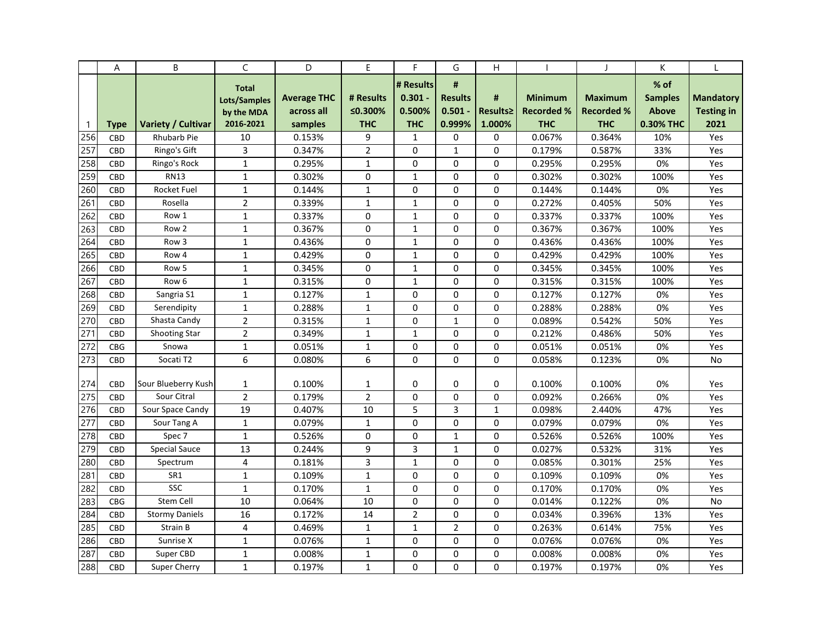|                  | Α          | B                         | C              | D                  | E              | F              | G              | Η            |                   | $\mathbf{I}$      | K              |                   |
|------------------|------------|---------------------------|----------------|--------------------|----------------|----------------|----------------|--------------|-------------------|-------------------|----------------|-------------------|
|                  |            |                           | <b>Total</b>   |                    |                | # Results      | #              |              |                   |                   | % of           |                   |
|                  |            |                           | Lots/Samples   | <b>Average THC</b> | # Results      | $0.301 -$      | <b>Results</b> | #            | <b>Minimum</b>    | <b>Maximum</b>    | <b>Samples</b> | <b>Mandatory</b>  |
|                  |            |                           | by the MDA     | across all         | ≤0.300%        | 0.500%         | $0.501 -$      | Results≥     | <b>Recorded %</b> | <b>Recorded %</b> | <b>Above</b>   | <b>Testing in</b> |
| $\mathbf{1}$     | Type       | <b>Variety / Cultivar</b> | 2016-2021      | samples            | <b>THC</b>     | <b>THC</b>     | 0.999%         | 1.000%       | <b>THC</b>        | <b>THC</b>        | 0.30% THC      | 2021              |
| 256              | CBD        | <b>Rhubarb Pie</b>        | 10             | 0.153%             | 9              | $\mathbf{1}$   | 0              | 0            | 0.067%            | 0.364%            | 10%            | Yes               |
| 257              | <b>CBD</b> | Ringo's Gift              | 3              | 0.347%             | $\overline{2}$ | 0              | 1              | 0            | 0.179%            | 0.587%            | 33%            | Yes               |
| 258              | <b>CBD</b> | Ringo's Rock              | $\mathbf{1}$   | 0.295%             | $\mathbf{1}$   | 0              | $\mathbf 0$    | $\Omega$     | 0.295%            | 0.295%            | 0%             | Yes               |
| 259              | CBD        | <b>RN13</b>               | $\mathbf{1}$   | 0.302%             | $\Omega$       | $\mathbf{1}$   | $\Omega$       | $\Omega$     | 0.302%            | 0.302%            | 100%           | Yes               |
| 260              | <b>CBD</b> | <b>Rocket Fuel</b>        | $\mathbf 1$    | 0.144%             | $\mathbf{1}$   | 0              | $\mathbf 0$    | 0            | 0.144%            | 0.144%            | 0%             | Yes               |
| 261              | <b>CBD</b> | Rosella                   | $\overline{2}$ | 0.339%             | $\mathbf{1}$   | $\mathbf{1}$   | 0              | 0            | 0.272%            | 0.405%            | 50%            | Yes               |
| 262              | <b>CBD</b> | Row 1                     | $\mathbf{1}$   | 0.337%             | 0              | $\mathbf{1}$   | $\mathbf 0$    | $\Omega$     | 0.337%            | 0.337%            | 100%           | Yes               |
| 263              | <b>CBD</b> | Row 2                     | $\mathbf{1}$   | 0.367%             | $\mathbf 0$    | $\mathbf{1}$   | $\mathbf 0$    | $\Omega$     | 0.367%            | 0.367%            | 100%           | Yes               |
| 264              | CBD        | Row <sub>3</sub>          | $\mathbf{1}$   | 0.436%             | $\Omega$       | $\mathbf{1}$   | $\Omega$       | 0            | 0.436%            | 0.436%            | 100%           | Yes               |
| 265              | <b>CBD</b> | Row 4                     | $\mathbf{1}$   | 0.429%             | $\mathbf 0$    | $\mathbf{1}$   | $\mathbf 0$    | 0            | 0.429%            | 0.429%            | 100%           | Yes               |
| 266              | <b>CBD</b> | Row 5                     | $\mathbf{1}$   | 0.345%             | 0              | $\mathbf{1}$   | 0              | 0            | 0.345%            | 0.345%            | 100%           | Yes               |
| 267              | <b>CBD</b> | Row <sub>6</sub>          | $\mathbf{1}$   | 0.315%             | 0              | $\mathbf{1}$   | $\mathbf 0$    | $\Omega$     | 0.315%            | 0.315%            | 100%           | Yes               |
| 268              | <b>CBD</b> | Sangria S1                | $\mathbf{1}$   | 0.127%             | $\mathbf{1}$   | 0              | $\Omega$       | $\Omega$     | 0.127%            | 0.127%            | 0%             | Yes               |
| 269              | CBD        | Serendipity               | $\mathbf{1}$   | 0.288%             | $\mathbf{1}$   | 0              | 0              | 0            | 0.288%            | 0.288%            | 0%             | Yes               |
| 270              | <b>CBD</b> | Shasta Candy              | $\overline{2}$ | 0.315%             | $\mathbf 1$    | 0              | $\mathbf{1}$   | $\Omega$     | 0.089%            | 0.542%            | 50%            | Yes               |
| 271              | <b>CBD</b> | <b>Shooting Star</b>      | $\overline{2}$ | 0.349%             | $\mathbf{1}$   | $\mathbf{1}$   | $\Omega$       | 0            | 0.212%            | 0.486%            | 50%            | Yes               |
| 272              | <b>CBG</b> | Snowa                     | $\mathbf{1}$   | 0.051%             | $\mathbf{1}$   | 0              | $\Omega$       | $\Omega$     | 0.051%            | 0.051%            | 0%             | Yes               |
| 273              | <b>CBD</b> | Socati T2                 | 6              | 0.080%             | 6              | $\Omega$       | $\Omega$       | 0            | 0.058%            | 0.123%            | 0%             | No                |
|                  |            |                           |                |                    |                |                |                |              |                   |                   |                |                   |
| 274              | <b>CBD</b> | Sour Blueberry Kush       | $\mathbf{1}$   | 0.100%             | 1              | 0              | 0              | 0            | 0.100%            | 0.100%            | 0%             | Yes               |
| $\overline{2}75$ | <b>CBD</b> | Sour Citral               | $\overline{2}$ | 0.179%             | $\overline{2}$ | $\Omega$       | $\Omega$       | 0            | 0.092%            | 0.266%            | 0%             | Yes               |
| 276              | <b>CBD</b> | Sour Space Candy          | 19             | 0.407%             | 10             | 5              | 3              | $\mathbf{1}$ | 0.098%            | 2.440%            | 47%            | Yes               |
| 277              | <b>CBD</b> | Sour Tang A               | $\mathbf{1}$   | 0.079%             | $\mathbf{1}$   | 0              | 0              | 0            | 0.079%            | 0.079%            | 0%             | Yes               |
| 278              | <b>CBD</b> | Spec 7                    | $\mathbf{1}$   | 0.526%             | $\mathbf 0$    | 0              | $\mathbf{1}$   | $\Omega$     | 0.526%            | 0.526%            | 100%           | Yes               |
| 279              | <b>CBD</b> | <b>Special Sauce</b>      | 13             | 0.244%             | 9              | 3              | $\mathbf{1}$   | 0            | 0.027%            | 0.532%            | 31%            | Yes               |
| 280              | <b>CBD</b> | Spectrum                  | $\overline{4}$ | 0.181%             | 3              | $\mathbf{1}$   | $\mathbf 0$    | 0            | 0.085%            | 0.301%            | 25%            | Yes               |
| 281              | <b>CBD</b> | SR1                       | $\mathbf{1}$   | 0.109%             | $\mathbf{1}$   | 0              | 0              | 0            | 0.109%            | 0.109%            | 0%             | Yes               |
| 282              | <b>CBD</b> | <b>SSC</b>                | $\mathbf{1}$   | 0.170%             | $\mathbf{1}$   | 0              | 0              | 0            | 0.170%            | 0.170%            | 0%             | Yes               |
| 283              | <b>CBG</b> | Stem Cell                 | 10             | 0.064%             | 10             | 0              | $\mathbf 0$    | 0            | 0.014%            | 0.122%            | 0%             | No                |
| 284              | CBD        | <b>Stormy Daniels</b>     | 16             | 0.172%             | 14             | $\overline{2}$ | $\mathbf{0}$   | 0            | 0.034%            | 0.396%            | 13%            | Yes               |
| 285              | CBD        | Strain B                  | $\overline{4}$ | 0.469%             | $\mathbf{1}$   | $\mathbf{1}$   | $\overline{2}$ | 0            | 0.263%            | 0.614%            | 75%            | Yes               |
| 286              | <b>CBD</b> | Sunrise X                 | $\mathbf 1$    | 0.076%             | $\mathbf{1}$   | 0              | 0              | 0            | 0.076%            | 0.076%            | 0%             | Yes               |
| 287              | <b>CBD</b> | Super CBD                 | $\mathbf{1}$   | 0.008%             | $\mathbf{1}$   | 0              | 0              | 0            | 0.008%            | 0.008%            | 0%             | Yes               |
| 288              | <b>CBD</b> | Super Cherry              | $\mathbf{1}$   | 0.197%             | $\mathbf{1}$   | $\Omega$       | $\Omega$       | 0            | 0.197%            | 0.197%            | 0%             | Yes               |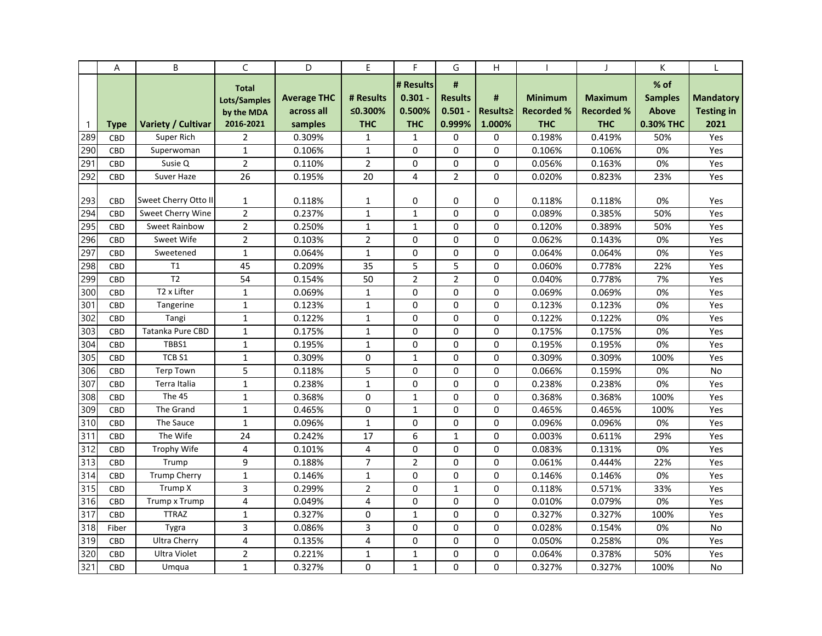|              | Α          | B                         | C              | D                  | E              | F.             | G              | Н        |                   | $\mathbf{I}$      | К              |                   |
|--------------|------------|---------------------------|----------------|--------------------|----------------|----------------|----------------|----------|-------------------|-------------------|----------------|-------------------|
|              |            |                           | <b>Total</b>   |                    |                | # Results      | #              |          |                   |                   | % of           |                   |
|              |            |                           | Lots/Samples   | <b>Average THC</b> | # Results      | $0.301 -$      | <b>Results</b> | #        | <b>Minimum</b>    | <b>Maximum</b>    | <b>Samples</b> | <b>Mandatory</b>  |
|              |            |                           | by the MDA     | across all         | ≤0.300%        | 0.500%         | $0.501 -$      | Results≥ | <b>Recorded %</b> | <b>Recorded %</b> | <b>Above</b>   | <b>Testing in</b> |
| $\mathbf{1}$ | Type       | <b>Variety / Cultivar</b> | 2016-2021      | samples            | <b>THC</b>     | <b>THC</b>     | 0.999%         | 1.000%   | <b>THC</b>        | <b>THC</b>        | 0.30% THC      | 2021              |
| 289          | CBD        | Super Rich                | $\overline{2}$ | 0.309%             | 1              | $\mathbf{1}$   | 0              | 0        | 0.198%            | 0.419%            | 50%            | Yes               |
| 290          | <b>CBD</b> | Superwoman                | $\mathbf{1}$   | 0.106%             | 1              | 0              | $\Omega$       | $\Omega$ | 0.106%            | 0.106%            | 0%             | Yes               |
| 291          | CBD        | Susie Q                   | $\overline{2}$ | 0.110%             | $\overline{2}$ | 0              | 0              | $\Omega$ | 0.056%            | 0.163%            | 0%             | Yes               |
| 292          | <b>CBD</b> | Suver Haze                | 26             | 0.195%             | 20             | 4              | $\overline{2}$ | $\Omega$ | 0.020%            | 0.823%            | 23%            | Yes               |
| 293          | <b>CBD</b> | Sweet Cherry Otto II      | 1              | 0.118%             | 1              | 0              | 0              | 0        | 0.118%            | 0.118%            | 0%             | Yes               |
| 294          | CBD        | Sweet Cherry Wine         | $\overline{2}$ | 0.237%             | $\mathbf{1}$   | $\mathbf{1}$   | 0              | 0        | 0.089%            | 0.385%            | 50%            | Yes               |
| 295          |            | <b>Sweet Rainbow</b>      | $\overline{2}$ |                    |                |                |                | 0        |                   |                   |                |                   |
|              | <b>CBD</b> | Sweet Wife                |                | 0.250%             | 1              | $\mathbf{1}$   | 0              |          | 0.120%            | 0.389%            | 50%            | Yes               |
| 296<br>297   | <b>CBD</b> |                           | $\overline{2}$ | 0.103%             | $\overline{2}$ | 0<br>$\Omega$  | $\Omega$       | 0        | 0.062%            | 0.143%            | 0%             | Yes               |
|              | CBD        | Sweetened                 | $\mathbf{1}$   | 0.064%             | $\mathbf{1}$   |                | $\Omega$       | 0        | 0.064%            | 0.064%            | 0%             | Yes               |
| 298          | CBD        | T1                        | 45             | 0.209%             | 35             | 5              | 5              | 0        | 0.060%            | 0.778%            | 22%            | Yes               |
| 299          | CBD        | T <sub>2</sub>            | 54             | 0.154%             | 50             | $\overline{2}$ | $\overline{2}$ | 0        | 0.040%            | 0.778%            | 7%             | Yes               |
| 300          | <b>CBD</b> | T2 x Lifter               | $\mathbf{1}$   | 0.069%             | $\mathbf{1}$   | 0              | 0              | 0        | 0.069%            | 0.069%            | 0%             | Yes               |
| 301          | <b>CBD</b> | Tangerine                 | $\mathbf{1}$   | 0.123%             | $\mathbf{1}$   | 0              | $\Omega$       | $\Omega$ | 0.123%            | 0.123%            | 0%             | Yes               |
| 302          | <b>CBD</b> | Tangi                     | $\mathbf{1}$   | 0.122%             | $\mathbf{1}$   | $\Omega$       | $\Omega$       | 0        | 0.122%            | 0.122%            | 0%             | Yes               |
| 303          | <b>CBD</b> | <b>Tatanka Pure CBD</b>   | $\mathbf{1}$   | 0.175%             | $\mathbf{1}$   | 0              | $\Omega$       | 0        | 0.175%            | 0.175%            | 0%             | Yes               |
| 304          | CBD        | TBBS1                     | $\mathbf{1}$   | 0.195%             | $\mathbf{1}$   | 0              | $\Omega$       | 0        | 0.195%            | 0.195%            | 0%             | Yes               |
| 305          | <b>CBD</b> | TCB <sub>S1</sub>         | $\mathbf{1}$   | 0.309%             | 0              | $\mathbf{1}$   | 0              | 0        | 0.309%            | 0.309%            | 100%           | Yes               |
| 306          | <b>CBD</b> | <b>Terp Town</b>          | 5              | 0.118%             | 5              | 0              | 0              | 0        | 0.066%            | 0.159%            | 0%             | No                |
| 307          | CBD        | Terra Italia              | $\mathbf{1}$   | 0.238%             | $\mathbf{1}$   | 0              | $\Omega$       | $\Omega$ | 0.238%            | 0.238%            | 0%             | Yes               |
| 308          | <b>CBD</b> | The 45                    | $\mathbf{1}$   | 0.368%             | 0              | $\mathbf{1}$   | $\Omega$       | $\Omega$ | 0.368%            | 0.368%            | 100%           | Yes               |
| 309          | <b>CBD</b> | The Grand                 | $\mathbf{1}$   | 0.465%             | $\mathbf 0$    | $\mathbf{1}$   | $\Omega$       | 0        | 0.465%            | 0.465%            | 100%           | Yes               |
| 310          | CBD        | The Sauce                 | $\mathbf{1}$   | 0.096%             | $\mathbf{1}$   | $\Omega$       | $\Omega$       | 0        | 0.096%            | 0.096%            | 0%             | Yes               |
| 311          | <b>CBD</b> | The Wife                  | 24             | 0.242%             | 17             | 6              | $\mathbf{1}$   | $\Omega$ | 0.003%            | 0.611%            | 29%            | Yes               |
| 312          | <b>CBD</b> | Trophy Wife               | 4              | 0.101%             | 4              | 0              | $\mathbf 0$    | 0        | 0.083%            | 0.131%            | 0%             | Yes               |
| 313          | <b>CBD</b> | Trump                     | 9              | 0.188%             | $\overline{7}$ | $\overline{2}$ | $\Omega$       | 0        | 0.061%            | 0.444%            | 22%            | Yes               |
| 314          | <b>CBD</b> | <b>Trump Cherry</b>       | $\mathbf{1}$   | 0.146%             | $\mathbf{1}$   | 0              | $\mathbf 0$    | 0        | 0.146%            | 0.146%            | 0%             | Yes               |
| 315          | <b>CBD</b> | Trump X                   | 3              | 0.299%             | 2              | 0              | $\mathbf{1}$   | 0        | 0.118%            | 0.571%            | 33%            | Yes               |
| 316          | CBD        | Trump x Trump             | 4              | 0.049%             | 4              | 0              | 0              | 0        | 0.010%            | 0.079%            | 0%             | Yes               |
| 317          | CBD        | <b>TTRAZ</b>              | $\mathbf{1}$   | 0.327%             | 0              | $\mathbf{1}$   | $\mathbf 0$    | $\Omega$ | 0.327%            | 0.327%            | 100%           | Yes               |
| 318          | Fiber      | Tygra                     | 3              | 0.086%             | 3              | 0              | 0              | 0        | 0.028%            | 0.154%            | 0%             | No                |
| 319          | <b>CBD</b> | <b>Ultra Cherry</b>       | $\overline{4}$ | 0.135%             | 4              | 0              | $\mathbf 0$    | 0        | 0.050%            | 0.258%            | 0%             | Yes               |
| 320          | <b>CBD</b> | <b>Ultra Violet</b>       | $\overline{2}$ | 0.221%             | 1              | $\mathbf{1}$   | $\Omega$       | $\Omega$ | 0.064%            | 0.378%            | 50%            | Yes               |
| 321          | <b>CBD</b> | Umqua                     | $\mathbf{1}$   | 0.327%             | 0              | $\mathbf{1}$   | $\Omega$       | 0        | 0.327%            | 0.327%            | 100%           | No                |